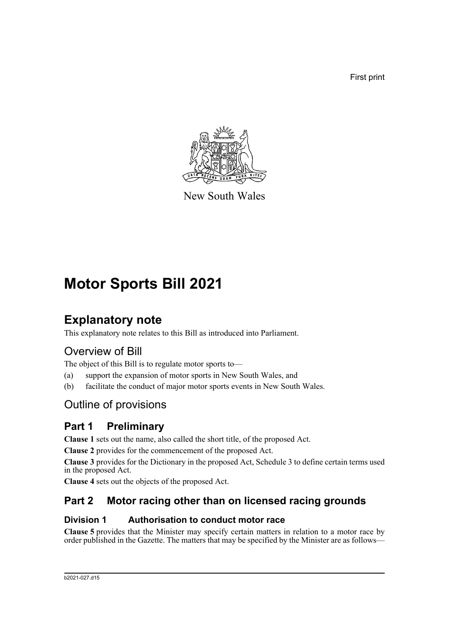First print



New South Wales

# **Motor Sports Bill 2021**

# **Explanatory note**

This explanatory note relates to this Bill as introduced into Parliament.

# Overview of Bill

The object of this Bill is to regulate motor sports to—

- (a) support the expansion of motor sports in New South Wales, and
- (b) facilitate the conduct of major motor sports events in New South Wales.

# Outline of provisions

# **Part 1 Preliminary**

**Clause 1** sets out the name, also called the short title, of the proposed Act.

**Clause 2** provides for the commencement of the proposed Act.

**Clause 3** provides for the Dictionary in the proposed Act, Schedule 3 to define certain terms used in the proposed Act.

**Clause 4** sets out the objects of the proposed Act.

# **Part 2 Motor racing other than on licensed racing grounds**

#### **Division 1 Authorisation to conduct motor race**

**Clause 5** provides that the Minister may specify certain matters in relation to a motor race by order published in the Gazette. The matters that may be specified by the Minister are as follows—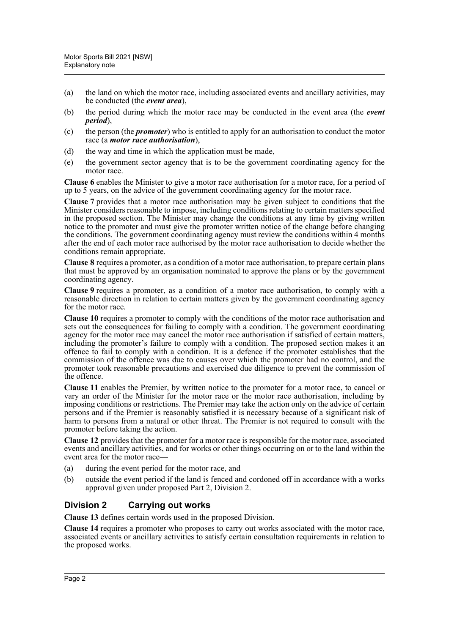- (a) the land on which the motor race, including associated events and ancillary activities, may be conducted (the *event area*),
- (b) the period during which the motor race may be conducted in the event area (the *event period*),
- (c) the person (the *promoter*) who is entitled to apply for an authorisation to conduct the motor race (a *motor race authorisation*),
- (d) the way and time in which the application must be made,
- (e) the government sector agency that is to be the government coordinating agency for the motor race.

**Clause 6** enables the Minister to give a motor race authorisation for a motor race, for a period of up to 5 years, on the advice of the government coordinating agency for the motor race.

**Clause 7** provides that a motor race authorisation may be given subject to conditions that the Minister considers reasonable to impose, including conditions relating to certain matters specified in the proposed section. The Minister may change the conditions at any time by giving written notice to the promoter and must give the promoter written notice of the change before changing the conditions. The government coordinating agency must review the conditions within 4 months after the end of each motor race authorised by the motor race authorisation to decide whether the conditions remain appropriate.

**Clause 8** requires a promoter, as a condition of a motor race authorisation, to prepare certain plans that must be approved by an organisation nominated to approve the plans or by the government coordinating agency.

**Clause 9** requires a promoter, as a condition of a motor race authorisation, to comply with a reasonable direction in relation to certain matters given by the government coordinating agency for the motor race.

**Clause 10** requires a promoter to comply with the conditions of the motor race authorisation and sets out the consequences for failing to comply with a condition. The government coordinating agency for the motor race may cancel the motor race authorisation if satisfied of certain matters, including the promoter's failure to comply with a condition. The proposed section makes it an offence to fail to comply with a condition. It is a defence if the promoter establishes that the commission of the offence was due to causes over which the promoter had no control, and the promoter took reasonable precautions and exercised due diligence to prevent the commission of the offence.

**Clause 11** enables the Premier, by written notice to the promoter for a motor race, to cancel or vary an order of the Minister for the motor race or the motor race authorisation, including by imposing conditions or restrictions. The Premier may take the action only on the advice of certain persons and if the Premier is reasonably satisfied it is necessary because of a significant risk of harm to persons from a natural or other threat. The Premier is not required to consult with the promoter before taking the action.

**Clause 12** provides that the promoter for a motor race is responsible for the motor race, associated events and ancillary activities, and for works or other things occurring on or to the land within the event area for the motor race—

- (a) during the event period for the motor race, and
- (b) outside the event period if the land is fenced and cordoned off in accordance with a works approval given under proposed Part 2, Division 2.

#### **Division 2 Carrying out works**

**Clause 13** defines certain words used in the proposed Division.

**Clause 14** requires a promoter who proposes to carry out works associated with the motor race, associated events or ancillary activities to satisfy certain consultation requirements in relation to the proposed works.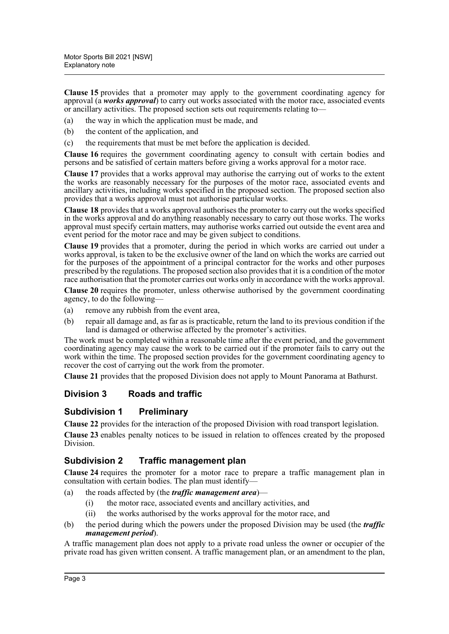**Clause 15** provides that a promoter may apply to the government coordinating agency for approval (a *works approval*) to carry out works associated with the motor race, associated events or ancillary activities. The proposed section sets out requirements relating to—

- (a) the way in which the application must be made, and
- (b) the content of the application, and
- (c) the requirements that must be met before the application is decided.

**Clause 16** requires the government coordinating agency to consult with certain bodies and persons and be satisfied of certain matters before giving a works approval for a motor race.

**Clause 17** provides that a works approval may authorise the carrying out of works to the extent the works are reasonably necessary for the purposes of the motor race, associated events and ancillary activities, including works specified in the proposed section. The proposed section also provides that a works approval must not authorise particular works.

**Clause 18** provides that a works approval authorises the promoter to carry out the works specified in the works approval and do anything reasonably necessary to carry out those works. The works approval must specify certain matters, may authorise works carried out outside the event area and event period for the motor race and may be given subject to conditions.

**Clause 19** provides that a promoter, during the period in which works are carried out under a works approval, is taken to be the exclusive owner of the land on which the works are carried out for the purposes of the appointment of a principal contractor for the works and other purposes prescribed by the regulations. The proposed section also provides that it is a condition of the motor race authorisation that the promoter carries out works only in accordance with the works approval.

**Clause 20** requires the promoter, unless otherwise authorised by the government coordinating agency, to do the following—

- (a) remove any rubbish from the event area,
- (b) repair all damage and, as far as is practicable, return the land to its previous condition if the land is damaged or otherwise affected by the promoter's activities.

The work must be completed within a reasonable time after the event period, and the government coordinating agency may cause the work to be carried out if the promoter fails to carry out the work within the time. The proposed section provides for the government coordinating agency to recover the cost of carrying out the work from the promoter.

**Clause 21** provides that the proposed Division does not apply to Mount Panorama at Bathurst.

#### **Division 3 Roads and traffic**

#### **Subdivision 1 Preliminary**

**Clause 22** provides for the interaction of the proposed Division with road transport legislation.

**Clause 23** enables penalty notices to be issued in relation to offences created by the proposed Division.

#### **Subdivision 2 Traffic management plan**

**Clause 24** requires the promoter for a motor race to prepare a traffic management plan in consultation with certain bodies. The plan must identify—

- (a) the roads affected by (the *traffic management area*)—
	- (i) the motor race, associated events and ancillary activities, and
	- (ii) the works authorised by the works approval for the motor race, and
- (b) the period during which the powers under the proposed Division may be used (the *traffic management period*).

A traffic management plan does not apply to a private road unless the owner or occupier of the private road has given written consent. A traffic management plan, or an amendment to the plan,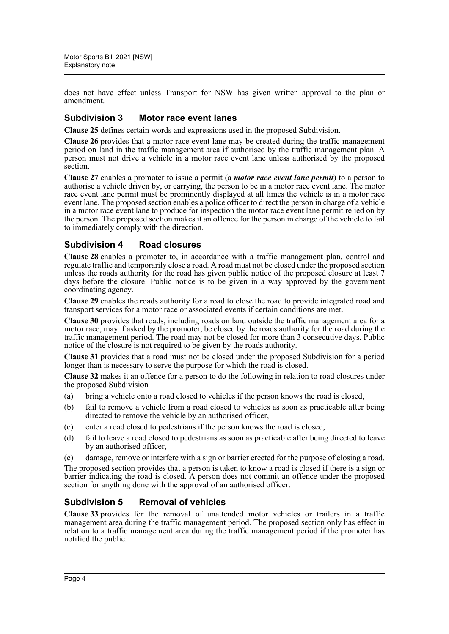does not have effect unless Transport for NSW has given written approval to the plan or amendment.

#### **Subdivision 3 Motor race event lanes**

**Clause 25** defines certain words and expressions used in the proposed Subdivision.

**Clause 26** provides that a motor race event lane may be created during the traffic management period on land in the traffic management area if authorised by the traffic management plan. A person must not drive a vehicle in a motor race event lane unless authorised by the proposed section.

**Clause 27** enables a promoter to issue a permit (a *motor race event lane permit*) to a person to authorise a vehicle driven by, or carrying, the person to be in a motor race event lane. The motor race event lane permit must be prominently displayed at all times the vehicle is in a motor race event lane. The proposed section enables a police officer to direct the person in charge of a vehicle in a motor race event lane to produce for inspection the motor race event lane permit relied on by the person. The proposed section makes it an offence for the person in charge of the vehicle to fail to immediately comply with the direction.

#### **Subdivision 4 Road closures**

**Clause 28** enables a promoter to, in accordance with a traffic management plan, control and regulate traffic and temporarily close a road. A road must not be closed under the proposed section unless the roads authority for the road has given public notice of the proposed closure at least 7 days before the closure. Public notice is to be given in a way approved by the government coordinating agency.

**Clause 29** enables the roads authority for a road to close the road to provide integrated road and transport services for a motor race or associated events if certain conditions are met.

**Clause 30** provides that roads, including roads on land outside the traffic management area for a motor race, may if asked by the promoter, be closed by the roads authority for the road during the traffic management period. The road may not be closed for more than 3 consecutive days. Public notice of the closure is not required to be given by the roads authority.

**Clause 31** provides that a road must not be closed under the proposed Subdivision for a period longer than is necessary to serve the purpose for which the road is closed.

**Clause 32** makes it an offence for a person to do the following in relation to road closures under the proposed Subdivision—

- (a) bring a vehicle onto a road closed to vehicles if the person knows the road is closed,
- (b) fail to remove a vehicle from a road closed to vehicles as soon as practicable after being directed to remove the vehicle by an authorised officer,
- (c) enter a road closed to pedestrians if the person knows the road is closed,
- (d) fail to leave a road closed to pedestrians as soon as practicable after being directed to leave by an authorised officer,

(e) damage, remove or interfere with a sign or barrier erected for the purpose of closing a road. The proposed section provides that a person is taken to know a road is closed if there is a sign or barrier indicating the road is closed. A person does not commit an offence under the proposed section for anything done with the approval of an authorised officer.

#### **Subdivision 5 Removal of vehicles**

**Clause 33** provides for the removal of unattended motor vehicles or trailers in a traffic management area during the traffic management period. The proposed section only has effect in relation to a traffic management area during the traffic management period if the promoter has notified the public.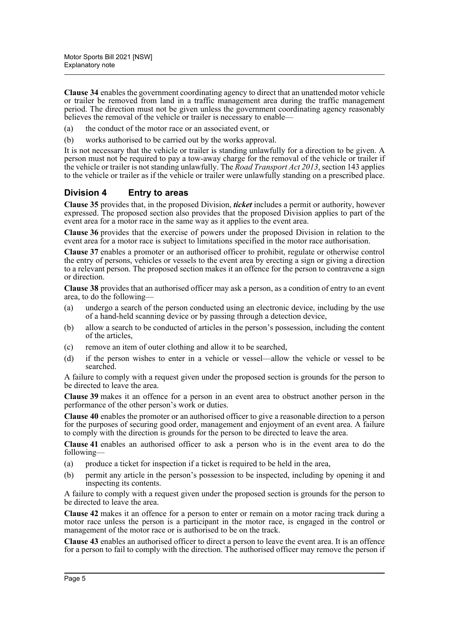**Clause 34** enables the government coordinating agency to direct that an unattended motor vehicle or trailer be removed from land in a traffic management area during the traffic management period. The direction must not be given unless the government coordinating agency reasonably believes the removal of the vehicle or trailer is necessary to enable—

(a) the conduct of the motor race or an associated event, or

(b) works authorised to be carried out by the works approval.

It is not necessary that the vehicle or trailer is standing unlawfully for a direction to be given. A person must not be required to pay a tow-away charge for the removal of the vehicle or trailer if the vehicle or trailer is not standing unlawfully. The *Road Transport Act 2013*, section 143 applies to the vehicle or trailer as if the vehicle or trailer were unlawfully standing on a prescribed place.

#### **Division 4 Entry to areas**

**Clause 35** provides that, in the proposed Division, *ticket* includes a permit or authority, however expressed. The proposed section also provides that the proposed Division applies to part of the event area for a motor race in the same way as it applies to the event area.

**Clause 36** provides that the exercise of powers under the proposed Division in relation to the event area for a motor race is subject to limitations specified in the motor race authorisation.

**Clause 37** enables a promoter or an authorised officer to prohibit, regulate or otherwise control the entry of persons, vehicles or vessels to the event area by erecting a sign or giving a direction to a relevant person. The proposed section makes it an offence for the person to contravene a sign or direction.

**Clause 38** provides that an authorised officer may ask a person, as a condition of entry to an event area, to do the following—

- (a) undergo a search of the person conducted using an electronic device, including by the use of a hand-held scanning device or by passing through a detection device,
- (b) allow a search to be conducted of articles in the person's possession, including the content of the articles,
- (c) remove an item of outer clothing and allow it to be searched,
- (d) if the person wishes to enter in a vehicle or vessel—allow the vehicle or vessel to be searched.

A failure to comply with a request given under the proposed section is grounds for the person to be directed to leave the area.

**Clause 39** makes it an offence for a person in an event area to obstruct another person in the performance of the other person's work or duties.

**Clause 40** enables the promoter or an authorised officer to give a reasonable direction to a person for the purposes of securing good order, management and enjoyment of an event area. A failure to comply with the direction is grounds for the person to be directed to leave the area.

**Clause 41** enables an authorised officer to ask a person who is in the event area to do the following—

- (a) produce a ticket for inspection if a ticket is required to be held in the area,
- (b) permit any article in the person's possession to be inspected, including by opening it and inspecting its contents.

A failure to comply with a request given under the proposed section is grounds for the person to be directed to leave the area.

**Clause 42** makes it an offence for a person to enter or remain on a motor racing track during a motor race unless the person is a participant in the motor race, is engaged in the control or management of the motor race or is authorised to be on the track.

**Clause 43** enables an authorised officer to direct a person to leave the event area. It is an offence for a person to fail to comply with the direction. The authorised officer may remove the person if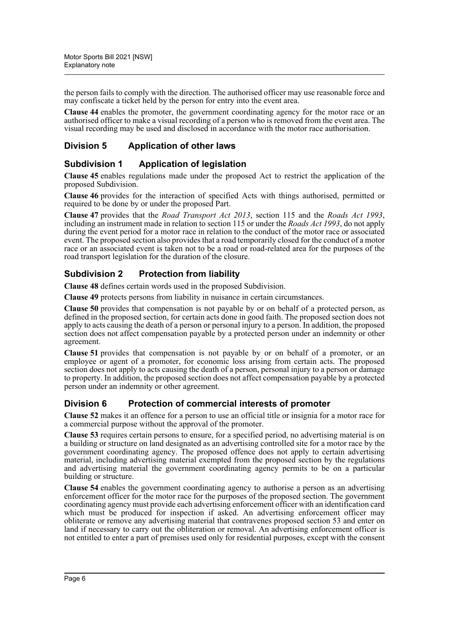the person fails to comply with the direction. The authorised officer may use reasonable force and may confiscate a ticket held by the person for entry into the event area.

**Clause 44** enables the promoter, the government coordinating agency for the motor race or an authorised officer to make a visual recording of a person who is removed from the event area. The visual recording may be used and disclosed in accordance with the motor race authorisation.

#### **Division 5 Application of other laws**

#### **Subdivision 1 Application of legislation**

**Clause 45** enables regulations made under the proposed Act to restrict the application of the proposed Subdivision.

**Clause 46** provides for the interaction of specified Acts with things authorised, permitted or required to be done by or under the proposed Part.

**Clause 47** provides that the *Road Transport Act 2013*, section 115 and the *Roads Act 1993*, including an instrument made in relation to section 115 or under the *Roads Act 1993*, do not apply during the event period for a motor race in relation to the conduct of the motor race or associated event. The proposed section also provides that a road temporarily closed for the conduct of a motor race or an associated event is taken not to be a road or road-related area for the purposes of the road transport legislation for the duration of the closure.

#### **Subdivision 2 Protection from liability**

**Clause 48** defines certain words used in the proposed Subdivision.

**Clause 49** protects persons from liability in nuisance in certain circumstances.

**Clause 50** provides that compensation is not payable by or on behalf of a protected person, as defined in the proposed section, for certain acts done in good faith. The proposed section does not apply to acts causing the death of a person or personal injury to a person. In addition, the proposed section does not affect compensation payable by a protected person under an indemnity or other agreement.

**Clause 51** provides that compensation is not payable by or on behalf of a promoter, or an employee or agent of a promoter, for economic loss arising from certain acts. The proposed section does not apply to acts causing the death of a person, personal injury to a person or damage to property. In addition, the proposed section does not affect compensation payable by a protected person under an indemnity or other agreement.

#### **Division 6 Protection of commercial interests of promoter**

**Clause 52** makes it an offence for a person to use an official title or insignia for a motor race for a commercial purpose without the approval of the promoter.

**Clause 53** requires certain persons to ensure, for a specified period, no advertising material is on a building or structure on land designated as an advertising controlled site for a motor race by the government coordinating agency. The proposed offence does not apply to certain advertising material, including advertising material exempted from the proposed section by the regulations and advertising material the government coordinating agency permits to be on a particular building or structure.

**Clause 54** enables the government coordinating agency to authorise a person as an advertising enforcement officer for the motor race for the purposes of the proposed section. The government coordinating agency must provide each advertising enforcement officer with an identification card which must be produced for inspection if asked. An advertising enforcement officer may obliterate or remove any advertising material that contravenes proposed section 53 and enter on land if necessary to carry out the obliteration or removal. An advertising enforcement officer is not entitled to enter a part of premises used only for residential purposes, except with the consent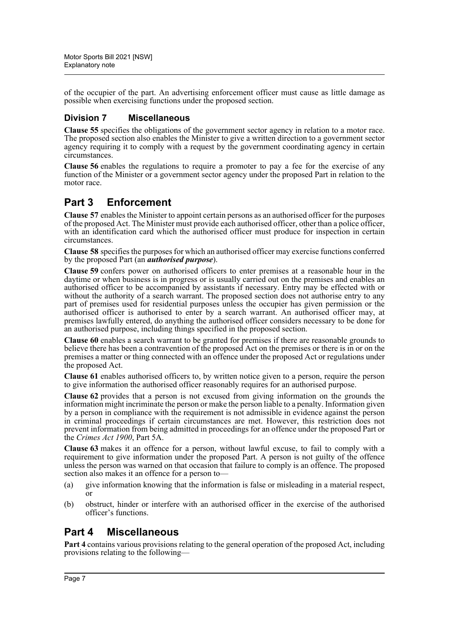of the occupier of the part. An advertising enforcement officer must cause as little damage as possible when exercising functions under the proposed section.

#### **Division 7 Miscellaneous**

**Clause 55** specifies the obligations of the government sector agency in relation to a motor race. The proposed section also enables the Minister to give a written direction to a government sector agency requiring it to comply with a request by the government coordinating agency in certain circumstances.

**Clause 56** enables the regulations to require a promoter to pay a fee for the exercise of any function of the Minister or a government sector agency under the proposed Part in relation to the motor race.

## **Part 3 Enforcement**

**Clause 57** enables the Minister to appoint certain persons as an authorised officer for the purposes of the proposed Act. The Minister must provide each authorised officer, other than a police officer, with an identification card which the authorised officer must produce for inspection in certain circumstances.

**Clause 58** specifies the purposes for which an authorised officer may exercise functions conferred by the proposed Part (an *authorised purpose*).

**Clause 59** confers power on authorised officers to enter premises at a reasonable hour in the daytime or when business is in progress or is usually carried out on the premises and enables an authorised officer to be accompanied by assistants if necessary. Entry may be effected with or without the authority of a search warrant. The proposed section does not authorise entry to any part of premises used for residential purposes unless the occupier has given permission or the authorised officer is authorised to enter by a search warrant. An authorised officer may, at premises lawfully entered, do anything the authorised officer considers necessary to be done for an authorised purpose, including things specified in the proposed section.

**Clause 60** enables a search warrant to be granted for premises if there are reasonable grounds to believe there has been a contravention of the proposed Act on the premises or there is in or on the premises a matter or thing connected with an offence under the proposed Act or regulations under the proposed Act.

**Clause 61** enables authorised officers to, by written notice given to a person, require the person to give information the authorised officer reasonably requires for an authorised purpose.

**Clause 62** provides that a person is not excused from giving information on the grounds the information might incriminate the person or make the person liable to a penalty. Information given by a person in compliance with the requirement is not admissible in evidence against the person in criminal proceedings if certain circumstances are met. However, this restriction does not prevent information from being admitted in proceedings for an offence under the proposed Part or the *Crimes Act 1900*, Part 5A.

**Clause 63** makes it an offence for a person, without lawful excuse, to fail to comply with a requirement to give information under the proposed Part. A person is not guilty of the offence unless the person was warned on that occasion that failure to comply is an offence. The proposed section also makes it an offence for a person to—

- (a) give information knowing that the information is false or misleading in a material respect, or
- (b) obstruct, hinder or interfere with an authorised officer in the exercise of the authorised officer's functions.

# **Part 4 Miscellaneous**

**Part 4** contains various provisions relating to the general operation of the proposed Act, including provisions relating to the following—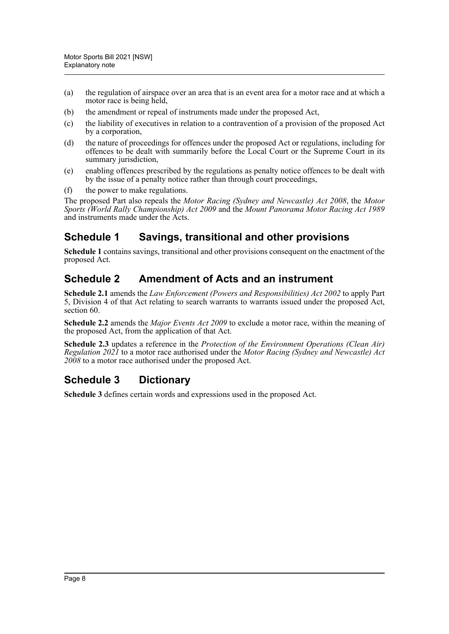- (a) the regulation of airspace over an area that is an event area for a motor race and at which a motor race is being held,
- (b) the amendment or repeal of instruments made under the proposed Act,
- (c) the liability of executives in relation to a contravention of a provision of the proposed Act by a corporation,
- (d) the nature of proceedings for offences under the proposed Act or regulations, including for offences to be dealt with summarily before the Local Court or the Supreme Court in its summary jurisdiction,
- (e) enabling offences prescribed by the regulations as penalty notice offences to be dealt with by the issue of a penalty notice rather than through court proceedings,
- (f) the power to make regulations.

The proposed Part also repeals the *Motor Racing (Sydney and Newcastle) Act 2008*, the *Motor Sports (World Rally Championship) Act 2009* and the *Mount Panorama Motor Racing Act 1989* and instruments made under the Acts.

## **Schedule 1 Savings, transitional and other provisions**

**Schedule 1** contains savings, transitional and other provisions consequent on the enactment of the proposed Act.

### **Schedule 2 Amendment of Acts and an instrument**

**Schedule 2.1** amends the *Law Enforcement (Powers and Responsibilities) Act 2002* to apply Part 5, Division 4 of that Act relating to search warrants to warrants issued under the proposed Act, section 60.

**Schedule 2.2** amends the *Major Events Act 2009* to exclude a motor race, within the meaning of the proposed Act, from the application of that Act.

**Schedule 2.3** updates a reference in the *Protection of the Environment Operations (Clean Air) Regulation 2021* to a motor race authorised under the *Motor Racing (Sydney and Newcastle) Act 2008* to a motor race authorised under the proposed Act.

## **Schedule 3 Dictionary**

**Schedule 3** defines certain words and expressions used in the proposed Act.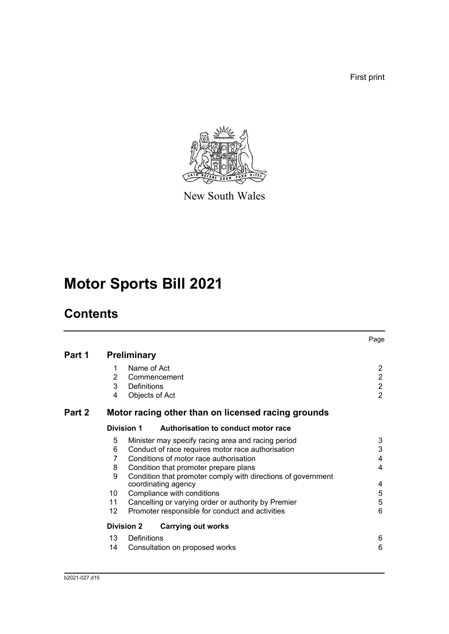First print



New South Wales

# **Motor Sports Bill 2021**

# **Contents**

|        |                   |                                                                                     | Page                    |
|--------|-------------------|-------------------------------------------------------------------------------------|-------------------------|
| Part 1 |                   | <b>Preliminary</b>                                                                  |                         |
|        | 1                 | Name of Act                                                                         | $\overline{2}$          |
|        | 2                 | Commencement                                                                        | $\overline{2}$          |
|        | 3                 | Definitions                                                                         | $\overline{2}$          |
|        | 4                 | Objects of Act                                                                      | $\overline{2}$          |
| Part 2 |                   | Motor racing other than on licensed racing grounds                                  |                         |
|        |                   | Division 1<br>Authorisation to conduct motor race                                   |                         |
|        | 5                 | Minister may specify racing area and racing period                                  | 3                       |
|        | 6                 | Conduct of race requires motor race authorisation                                   | 3                       |
|        | 7                 | Conditions of motor race authorisation                                              | $\overline{\mathbf{4}}$ |
|        | 8                 | Condition that promoter prepare plans                                               | $\overline{4}$          |
|        | 9                 | Condition that promoter comply with directions of government<br>coordinating agency | 4                       |
|        | 10                | Compliance with conditions                                                          | 5                       |
|        | 11                | Cancelling or varying order or authority by Premier                                 | 5                       |
|        | $12 \overline{ }$ | Promoter responsible for conduct and activities                                     | $6\phantom{1}6$         |
|        |                   | <b>Carrying out works</b><br><b>Division 2</b>                                      |                         |
|        | 13                | Definitions                                                                         | 6                       |
|        | 14                | Consultation on proposed works                                                      | 6                       |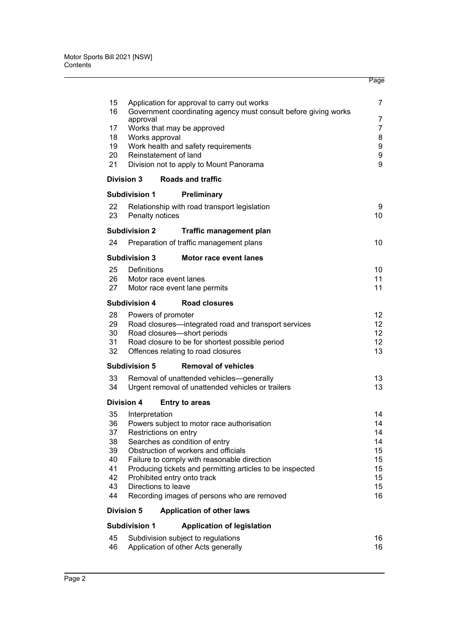| 15       |                                                    | Application for approval to carry out works                                         | 7        |
|----------|----------------------------------------------------|-------------------------------------------------------------------------------------|----------|
| 16       |                                                    | Government coordinating agency must consult before giving works                     | 7        |
| 17       | approval                                           | Works that may be approved                                                          | 7        |
| 18       | Works approval                                     |                                                                                     | 8        |
| 19<br>20 | Reinstatement of land                              | Work health and safety requirements                                                 | 9<br>9   |
| 21       |                                                    | Division not to apply to Mount Panorama                                             | 9        |
|          | Division 3                                         | <b>Roads and traffic</b>                                                            |          |
|          | <b>Subdivision 1</b>                               | Preliminary                                                                         |          |
| 22       |                                                    | Relationship with road transport legislation                                        | 9        |
| 23       | Penalty notices                                    |                                                                                     | 10       |
|          | <b>Subdivision 2</b>                               | <b>Traffic management plan</b>                                                      |          |
| 24       |                                                    | Preparation of traffic management plans                                             | 10       |
|          | <b>Subdivision 3</b>                               | Motor race event lanes                                                              |          |
| 25       | Definitions                                        |                                                                                     | 10       |
| 26       | Motor race event lanes                             |                                                                                     | 11       |
| 27       |                                                    | Motor race event lane permits                                                       | 11       |
|          | <b>Subdivision 4</b>                               | <b>Road closures</b>                                                                |          |
| 28       | Powers of promoter                                 |                                                                                     | 12       |
| 29<br>30 |                                                    | Road closures-integrated road and transport services<br>Road closures-short periods | 12<br>12 |
| 31       |                                                    | Road closure to be for shortest possible period                                     | 12       |
| 32       |                                                    | Offences relating to road closures                                                  | 13       |
|          | <b>Subdivision 5</b>                               | <b>Removal of vehicles</b>                                                          |          |
| 33       |                                                    | Removal of unattended vehicles-generally                                            | 13       |
| 34       |                                                    | Urgent removal of unattended vehicles or trailers                                   | 13       |
|          | Division 4                                         | <b>Entry to areas</b>                                                               |          |
| 35       | Interpretation                                     |                                                                                     | 14       |
| 36<br>37 | Restrictions on entry                              | Powers subject to motor race authorisation                                          | 14<br>14 |
| 38       |                                                    | Searches as condition of entry                                                      | 14       |
| 39       |                                                    | Obstruction of workers and officials                                                | 15       |
| 40       |                                                    | Failure to comply with reasonable direction                                         | 15       |
| 41       |                                                    | Producing tickets and permitting articles to be inspected                           | 15       |
| 42<br>43 | Prohibited entry onto track<br>Directions to leave |                                                                                     | 15<br>15 |
| 44       |                                                    | Recording images of persons who are removed                                         | 16       |
|          | <b>Division 5</b>                                  | <b>Application of other laws</b>                                                    |          |
|          | <b>Subdivision 1</b>                               | <b>Application of legislation</b>                                                   |          |
| 45       |                                                    | Subdivision subject to regulations                                                  | 16       |
| 46       |                                                    | Application of other Acts generally                                                 | 16       |
|          |                                                    |                                                                                     |          |

Page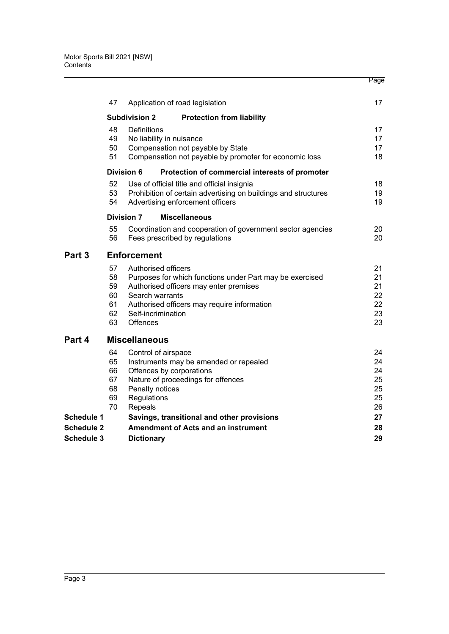|                                        |                                        |                                                                                              |                                                                                                                                                   | Page                                   |
|----------------------------------------|----------------------------------------|----------------------------------------------------------------------------------------------|---------------------------------------------------------------------------------------------------------------------------------------------------|----------------------------------------|
|                                        | 47                                     |                                                                                              | Application of road legislation                                                                                                                   | 17                                     |
|                                        |                                        | <b>Subdivision 2</b>                                                                         | <b>Protection from liability</b>                                                                                                                  |                                        |
|                                        | 48<br>49<br>50<br>51                   | Definitions<br>No liability in nuisance                                                      | Compensation not payable by State<br>Compensation not payable by promoter for economic loss                                                       | 17<br>17<br>17<br>18                   |
|                                        |                                        | Division 6                                                                                   | Protection of commercial interests of promoter                                                                                                    |                                        |
|                                        | 52<br>53<br>54                         |                                                                                              | Use of official title and official insignia<br>Prohibition of certain advertising on buildings and structures<br>Advertising enforcement officers | 18<br>19<br>19                         |
|                                        |                                        | <b>Division 7</b>                                                                            | <b>Miscellaneous</b>                                                                                                                              |                                        |
|                                        | 55<br>56                               |                                                                                              | Coordination and cooperation of government sector agencies<br>Fees prescribed by regulations                                                      | 20<br>20                               |
| Part 3                                 |                                        | <b>Enforcement</b>                                                                           |                                                                                                                                                   |                                        |
|                                        | 57<br>58<br>59<br>60<br>61<br>62<br>63 | Authorised officers<br>Search warrants<br>Self-incrimination<br><b>Offences</b>              | Purposes for which functions under Part may be exercised<br>Authorised officers may enter premises<br>Authorised officers may require information | 21<br>21<br>21<br>22<br>22<br>23<br>23 |
| Part 4                                 |                                        | <b>Miscellaneous</b>                                                                         |                                                                                                                                                   |                                        |
|                                        | 64<br>65<br>66<br>67<br>68<br>69<br>70 | Control of airspace<br>Offences by corporations<br>Penalty notices<br>Regulations<br>Repeals | Instruments may be amended or repealed<br>Nature of proceedings for offences                                                                      | 24<br>24<br>24<br>25<br>25<br>25<br>26 |
| Schedule 1                             |                                        |                                                                                              | Savings, transitional and other provisions                                                                                                        | 27                                     |
| <b>Schedule 2</b><br><b>Schedule 3</b> |                                        | <b>Dictionary</b>                                                                            | <b>Amendment of Acts and an instrument</b>                                                                                                        | 28<br>29                               |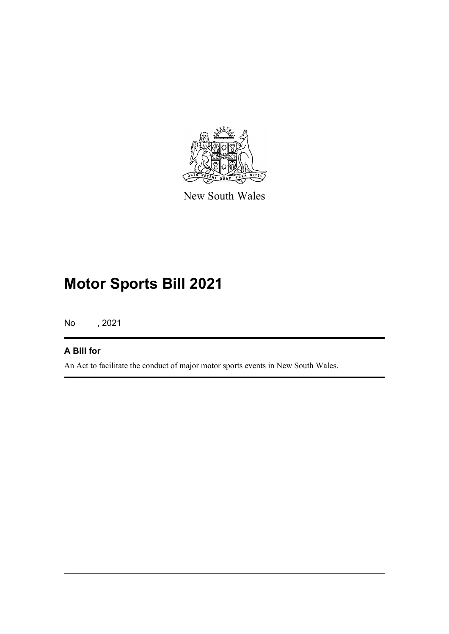

New South Wales

# **Motor Sports Bill 2021**

No , 2021

#### **A Bill for**

An Act to facilitate the conduct of major motor sports events in New South Wales.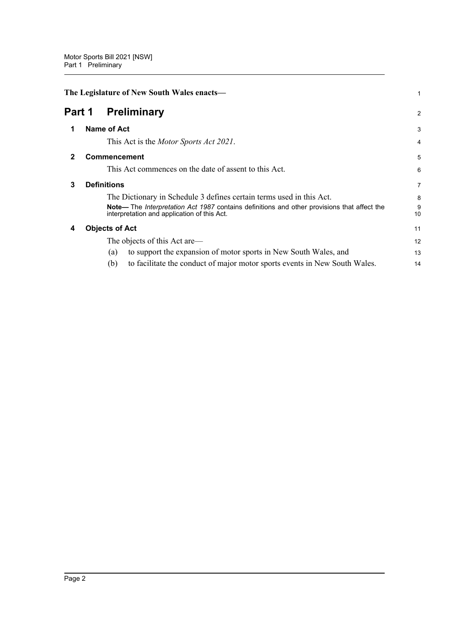<span id="page-12-4"></span><span id="page-12-3"></span><span id="page-12-2"></span><span id="page-12-1"></span><span id="page-12-0"></span>

|                                   | The Legislature of New South Wales enacts- |                                                                                                                                                   |                |  |
|-----------------------------------|--------------------------------------------|---------------------------------------------------------------------------------------------------------------------------------------------------|----------------|--|
| Part 1<br><b>Preliminary</b><br>2 |                                            |                                                                                                                                                   |                |  |
|                                   |                                            | <b>Name of Act</b>                                                                                                                                | 3              |  |
|                                   |                                            | This Act is the <i>Motor Sports Act 2021</i> .                                                                                                    | 4              |  |
| 2                                 |                                            | <b>Commencement</b>                                                                                                                               | 5              |  |
|                                   |                                            | This Act commences on the date of assent to this Act.                                                                                             | 6              |  |
| 3                                 |                                            | <b>Definitions</b>                                                                                                                                | $\overline{7}$ |  |
|                                   |                                            | The Dictionary in Schedule 3 defines certain terms used in this Act.                                                                              | 8              |  |
|                                   |                                            | Note— The <i>Interpretation Act 1987</i> contains definitions and other provisions that affect the<br>interpretation and application of this Act. | 9<br>10        |  |
| 4                                 |                                            | <b>Objects of Act</b>                                                                                                                             | 11             |  |
|                                   |                                            | The objects of this Act are—                                                                                                                      | 12             |  |
|                                   |                                            | to support the expansion of motor sports in New South Wales, and<br>(a)                                                                           | 13             |  |
|                                   |                                            | (b)<br>to facilitate the conduct of major motor sports events in New South Wales.                                                                 | 14             |  |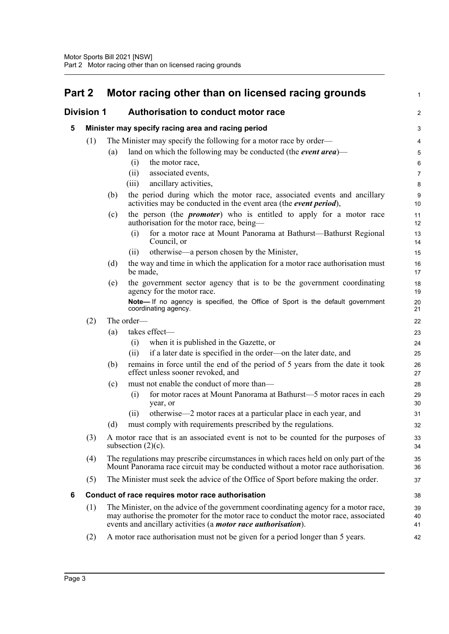<span id="page-13-3"></span><span id="page-13-2"></span><span id="page-13-1"></span><span id="page-13-0"></span>

| Part 2 |                   | Motor racing other than on licensed racing grounds                                                                                                                                                                                                  | $\mathbf{1}$   |  |
|--------|-------------------|-----------------------------------------------------------------------------------------------------------------------------------------------------------------------------------------------------------------------------------------------------|----------------|--|
|        | <b>Division 1</b> | Authorisation to conduct motor race                                                                                                                                                                                                                 |                |  |
| 5      |                   | Minister may specify racing area and racing period                                                                                                                                                                                                  | 3              |  |
|        | (1)               | The Minister may specify the following for a motor race by order—                                                                                                                                                                                   | 4              |  |
|        |                   | land on which the following may be conducted (the <i>event area</i> )—<br>(a)                                                                                                                                                                       | 5              |  |
|        |                   | the motor race,<br>(i)                                                                                                                                                                                                                              | 6              |  |
|        |                   | associated events,<br>(ii)                                                                                                                                                                                                                          | $\overline{7}$ |  |
|        |                   | ancillary activities,<br>(iii)                                                                                                                                                                                                                      | $\bf 8$        |  |
|        |                   | the period during which the motor race, associated events and ancillary<br>(b)<br>activities may be conducted in the event area (the event period),                                                                                                 | 9<br>10        |  |
|        |                   | the person (the <i>promoter</i> ) who is entitled to apply for a motor race<br>(c)<br>authorisation for the motor race, being-                                                                                                                      | 11<br>12       |  |
|        |                   | for a motor race at Mount Panorama at Bathurst—Bathurst Regional<br>(i)<br>Council, or                                                                                                                                                              | 13<br>14       |  |
|        |                   | otherwise—a person chosen by the Minister,<br>(ii)                                                                                                                                                                                                  | 15             |  |
|        |                   | the way and time in which the application for a motor race authorisation must<br>(d)<br>be made,                                                                                                                                                    | 16<br>17       |  |
|        |                   | the government sector agency that is to be the government coordinating<br>(e)<br>agency for the motor race.                                                                                                                                         | 18<br>19       |  |
|        |                   | Note- If no agency is specified, the Office of Sport is the default government<br>coordinating agency.                                                                                                                                              | 20<br>21       |  |
|        | (2)               | The order-                                                                                                                                                                                                                                          | 22             |  |
|        |                   | takes effect-<br>(a)                                                                                                                                                                                                                                | 23             |  |
|        |                   | when it is published in the Gazette, or<br>(i)                                                                                                                                                                                                      | 24             |  |
|        |                   | if a later date is specified in the order—on the later date, and<br>(ii)                                                                                                                                                                            | 25             |  |
|        |                   | remains in force until the end of the period of 5 years from the date it took<br>(b)<br>effect unless sooner revoked, and                                                                                                                           | 26<br>27       |  |
|        |                   | must not enable the conduct of more than-<br>(c)                                                                                                                                                                                                    | 28             |  |
|        |                   | for motor races at Mount Panorama at Bathurst—5 motor races in each<br>(i)<br>year, or                                                                                                                                                              | 29<br>30       |  |
|        |                   | otherwise—2 motor races at a particular place in each year, and<br>(ii)                                                                                                                                                                             | 31             |  |
|        |                   | must comply with requirements prescribed by the regulations.<br>(d)                                                                                                                                                                                 | 32             |  |
|        | (3)               | A motor race that is an associated event is not to be counted for the purposes of<br>subsection $(2)(c)$ .                                                                                                                                          | 33<br>34       |  |
|        | (4)               | The regulations may prescribe circumstances in which races held on only part of the<br>Mount Panorama race circuit may be conducted without a motor race authorisation.                                                                             | 35<br>36       |  |
|        | (5)               | The Minister must seek the advice of the Office of Sport before making the order.                                                                                                                                                                   | 37             |  |
| 6      |                   | Conduct of race requires motor race authorisation                                                                                                                                                                                                   | 38             |  |
|        | (1)               | The Minister, on the advice of the government coordinating agency for a motor race,<br>may authorise the promoter for the motor race to conduct the motor race, associated<br>events and ancillary activities (a <i>motor race authorisation</i> ). | 39<br>40<br>41 |  |
|        | (2)               | A motor race authorisation must not be given for a period longer than 5 years.                                                                                                                                                                      | 42             |  |
|        |                   |                                                                                                                                                                                                                                                     |                |  |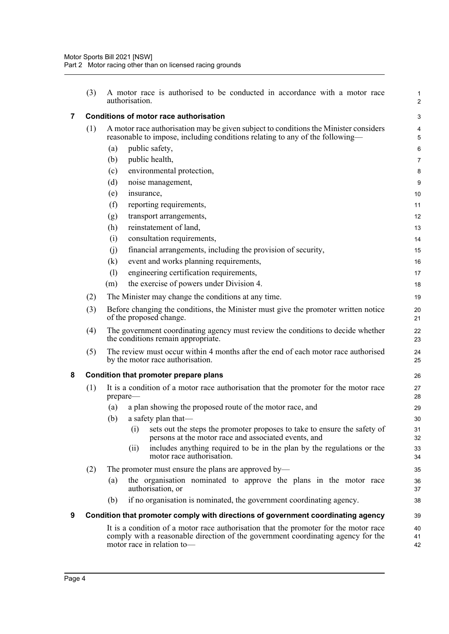<span id="page-14-2"></span><span id="page-14-1"></span><span id="page-14-0"></span>

|                         | (3) | A motor race is authorised to be conducted in accordance with a motor race<br>authorisation.                                                                                                           | 1<br>$\overline{c}$          |
|-------------------------|-----|--------------------------------------------------------------------------------------------------------------------------------------------------------------------------------------------------------|------------------------------|
| $\overline{\mathbf{7}}$ |     | <b>Conditions of motor race authorisation</b>                                                                                                                                                          | 3                            |
|                         | (1) | A motor race authorisation may be given subject to conditions the Minister considers<br>reasonable to impose, including conditions relating to any of the following—                                   | $\overline{\mathbf{4}}$<br>5 |
|                         |     | public safety,<br>(a)                                                                                                                                                                                  | 6                            |
|                         |     | (b)<br>public health,                                                                                                                                                                                  | $\overline{7}$               |
|                         |     | environmental protection,<br>(c)                                                                                                                                                                       | 8                            |
|                         |     | (d)<br>noise management,                                                                                                                                                                               | 9                            |
|                         |     | insurance,<br>(e)                                                                                                                                                                                      | 10                           |
|                         |     | reporting requirements,<br>(f)                                                                                                                                                                         | 11                           |
|                         |     | transport arrangements,<br>(g)                                                                                                                                                                         | 12                           |
|                         |     | reinstatement of land,<br>(h)                                                                                                                                                                          | 13                           |
|                         |     | consultation requirements,<br>(i)                                                                                                                                                                      | 14                           |
|                         |     | financial arrangements, including the provision of security,<br>(i)                                                                                                                                    | 15                           |
|                         |     | event and works planning requirements,<br>(k)                                                                                                                                                          | 16                           |
|                         |     | engineering certification requirements,<br>(1)                                                                                                                                                         | 17                           |
|                         |     | the exercise of powers under Division 4.<br>(m)                                                                                                                                                        | 18                           |
|                         | (2) | The Minister may change the conditions at any time.                                                                                                                                                    | 19                           |
|                         | (3) | Before changing the conditions, the Minister must give the promoter written notice<br>of the proposed change.                                                                                          | 20<br>21                     |
|                         | (4) | The government coordinating agency must review the conditions to decide whether<br>the conditions remain appropriate.                                                                                  | 22<br>23                     |
|                         | (5) | The review must occur within 4 months after the end of each motor race authorised<br>by the motor race authorisation.                                                                                  | 24<br>25                     |
| 8                       |     | Condition that promoter prepare plans                                                                                                                                                                  | 26                           |
|                         | (1) | It is a condition of a motor race authorisation that the promoter for the motor race<br>prepare-                                                                                                       | 27<br>28                     |
|                         |     | a plan showing the proposed route of the motor race, and<br>(a)                                                                                                                                        | 29                           |
|                         |     | a safety plan that-<br>(b)                                                                                                                                                                             | 30                           |
|                         |     | sets out the steps the promoter proposes to take to ensure the safety of<br>(i)<br>persons at the motor race and associated events, and                                                                | 31<br>32                     |
|                         |     | includes anything required to be in the plan by the regulations or the<br>(ii)<br>motor race authorisation.                                                                                            | 33<br>34                     |
|                         | (2) | The promoter must ensure the plans are approved by—                                                                                                                                                    | 35                           |
|                         |     | the organisation nominated to approve the plans in the motor race<br>(a)<br>authorisation, or                                                                                                          | 36<br>37                     |
|                         |     | if no organisation is nominated, the government coordinating agency.<br>(b)                                                                                                                            | 38                           |
| 9                       |     | Condition that promoter comply with directions of government coordinating agency                                                                                                                       | 39                           |
|                         |     | It is a condition of a motor race authorisation that the promoter for the motor race<br>comply with a reasonable direction of the government coordinating agency for the<br>motor race in relation to- | 40<br>41<br>42               |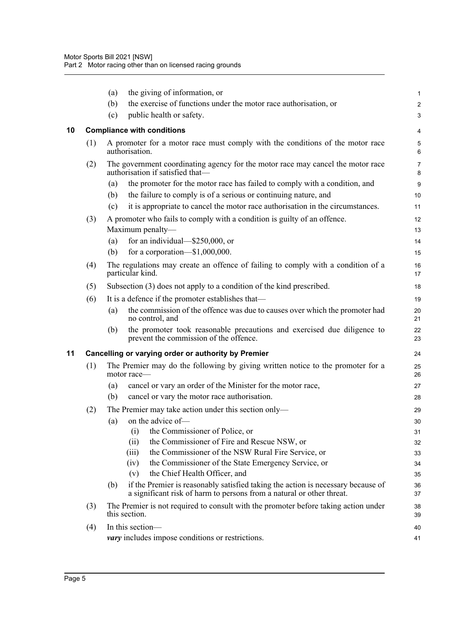<span id="page-15-1"></span><span id="page-15-0"></span>

|    |     | (a) | the giving of information, or                                                                                                                             | 1              |
|----|-----|-----|-----------------------------------------------------------------------------------------------------------------------------------------------------------|----------------|
|    |     | (b) | the exercise of functions under the motor race authorisation, or                                                                                          | $\overline{a}$ |
|    |     | (c) | public health or safety.                                                                                                                                  | 3              |
| 10 |     |     | <b>Compliance with conditions</b>                                                                                                                         | 4              |
|    | (1) |     | A promoter for a motor race must comply with the conditions of the motor race<br>authorisation.                                                           | 5<br>6         |
|    | (2) |     | The government coordinating agency for the motor race may cancel the motor race<br>authorisation if satisfied that-                                       | 7<br>8         |
|    |     | (a) | the promoter for the motor race has failed to comply with a condition, and                                                                                | 9              |
|    |     | (b) | the failure to comply is of a serious or continuing nature, and                                                                                           | 10             |
|    |     | (c) | it is appropriate to cancel the motor race authorisation in the circumstances.                                                                            | 11             |
|    | (3) |     | A promoter who fails to comply with a condition is guilty of an offence.                                                                                  | 12             |
|    |     |     | Maximum penalty-                                                                                                                                          | 13             |
|    |     | (a) | for an individual— $$250,000$ , or                                                                                                                        | 14             |
|    |     | (b) | for a corporation- $$1,000,000$ .                                                                                                                         | 15             |
|    | (4) |     | The regulations may create an offence of failing to comply with a condition of a<br>particular kind.                                                      | 16<br>17       |
|    | (5) |     | Subsection (3) does not apply to a condition of the kind prescribed.                                                                                      | 18             |
|    | (6) |     | It is a defence if the promoter establishes that—                                                                                                         | 19             |
|    |     | (a) | the commission of the offence was due to causes over which the promoter had<br>no control, and                                                            | 20<br>21       |
|    |     | (b) | the promoter took reasonable precautions and exercised due diligence to<br>prevent the commission of the offence.                                         | 22<br>23       |
| 11 |     |     | Cancelling or varying order or authority by Premier                                                                                                       | 24             |
|    | (1) |     | The Premier may do the following by giving written notice to the promoter for a<br>motor race-                                                            | 25<br>26       |
|    |     | (a) | cancel or vary an order of the Minister for the motor race,                                                                                               | 27             |
|    |     | (b) | cancel or vary the motor race authorisation.                                                                                                              | 28             |
|    | (2) |     | The Premier may take action under this section only—                                                                                                      | 29             |
|    |     | (a) | on the advice of-                                                                                                                                         | 30             |
|    |     |     | the Commissioner of Police, or<br>(i)                                                                                                                     | 31             |
|    |     |     | the Commissioner of Fire and Rescue NSW, or<br>(ii)                                                                                                       | 32             |
|    |     |     | the Commissioner of the NSW Rural Fire Service, or<br>(iii)                                                                                               | 33             |
|    |     |     | the Commissioner of the State Emergency Service, or<br>(iv)                                                                                               | 34             |
|    |     |     | the Chief Health Officer, and<br>(v)                                                                                                                      | 35             |
|    |     | (b) | if the Premier is reasonably satisfied taking the action is necessary because of<br>a significant risk of harm to persons from a natural or other threat. | 36<br>37       |
|    | (3) |     | The Premier is not required to consult with the promoter before taking action under<br>this section.                                                      | 38<br>39       |
|    | (4) |     | In this section-                                                                                                                                          | 40             |
|    |     |     | <i>vary</i> includes impose conditions or restrictions.                                                                                                   | 41             |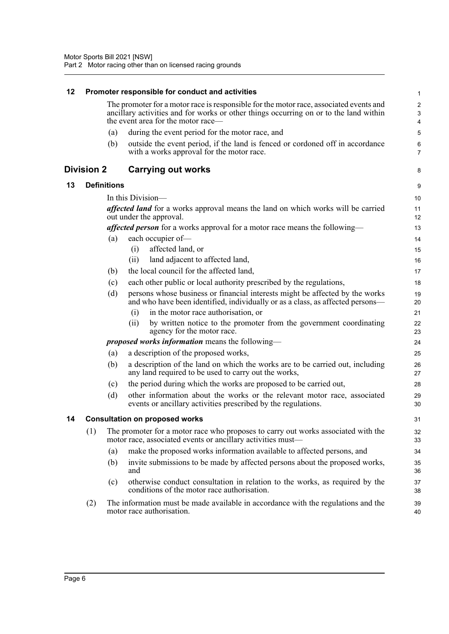<span id="page-16-3"></span><span id="page-16-2"></span><span id="page-16-1"></span><span id="page-16-0"></span>

| 12 |                   |                    | Promoter responsible for conduct and activities                                                                                                                                                                       | $\mathbf{1}$                                                  |
|----|-------------------|--------------------|-----------------------------------------------------------------------------------------------------------------------------------------------------------------------------------------------------------------------|---------------------------------------------------------------|
|    |                   |                    | The promoter for a motor race is responsible for the motor race, associated events and<br>ancillary activities and for works or other things occurring on or to the land within<br>the event area for the motor race— | $\overline{c}$<br>$\ensuremath{\mathsf{3}}$<br>$\overline{4}$ |
|    |                   | (a)                | during the event period for the motor race, and                                                                                                                                                                       | 5                                                             |
|    |                   | (b)                | outside the event period, if the land is fenced or cordoned off in accordance<br>with a works approval for the motor race.                                                                                            | 6<br>$\overline{7}$                                           |
|    | <b>Division 2</b> |                    | <b>Carrying out works</b>                                                                                                                                                                                             | 8                                                             |
| 13 |                   | <b>Definitions</b> |                                                                                                                                                                                                                       | 9                                                             |
|    |                   |                    | In this Division—                                                                                                                                                                                                     | 10                                                            |
|    |                   |                    | affected land for a works approval means the land on which works will be carried<br>out under the approval.                                                                                                           | 11<br>12                                                      |
|    |                   |                    | affected person for a works approval for a motor race means the following-                                                                                                                                            | 13                                                            |
|    |                   | (a)                | each occupier of-                                                                                                                                                                                                     | 14                                                            |
|    |                   |                    | affected land, or<br>(i)                                                                                                                                                                                              | 15                                                            |
|    |                   |                    | land adjacent to affected land,<br>(ii)                                                                                                                                                                               | 16                                                            |
|    |                   | (b)                | the local council for the affected land,                                                                                                                                                                              | 17                                                            |
|    |                   | (c)                | each other public or local authority prescribed by the regulations,                                                                                                                                                   | 18                                                            |
|    |                   | (d)                | persons whose business or financial interests might be affected by the works<br>and who have been identified, individually or as a class, as affected persons—                                                        | 19<br>20                                                      |
|    |                   |                    | in the motor race authorisation, or<br>(i)                                                                                                                                                                            | 21                                                            |
|    |                   |                    | by written notice to the promoter from the government coordinating<br>(ii)<br>agency for the motor race.                                                                                                              | 22<br>23                                                      |
|    |                   |                    | <i>proposed works information</i> means the following—                                                                                                                                                                | 24                                                            |
|    |                   | (a)                | a description of the proposed works,                                                                                                                                                                                  | 25                                                            |
|    |                   | (b)                | a description of the land on which the works are to be carried out, including<br>any land required to be used to carry out the works,                                                                                 | 26<br>27                                                      |
|    |                   | (c)                | the period during which the works are proposed to be carried out,                                                                                                                                                     | 28                                                            |
|    |                   | (d)                | other information about the works or the relevant motor race, associated<br>events or ancillary activities prescribed by the regulations.                                                                             | 29<br>30                                                      |
| 14 |                   |                    | <b>Consultation on proposed works</b>                                                                                                                                                                                 | 31                                                            |
|    | (1)               |                    | The promoter for a motor race who proposes to carry out works associated with the<br>motor race, associated events or ancillary activities must—                                                                      | 32<br>33                                                      |
|    |                   | (a)                | make the proposed works information available to affected persons, and                                                                                                                                                | 34                                                            |
|    |                   | (b)                | invite submissions to be made by affected persons about the proposed works,<br>and                                                                                                                                    | 35<br>36                                                      |
|    |                   | (c)                | otherwise conduct consultation in relation to the works, as required by the<br>conditions of the motor race authorisation.                                                                                            | 37<br>38                                                      |
|    | (2)               |                    | The information must be made available in accordance with the regulations and the<br>motor race authorisation.                                                                                                        | 39<br>40                                                      |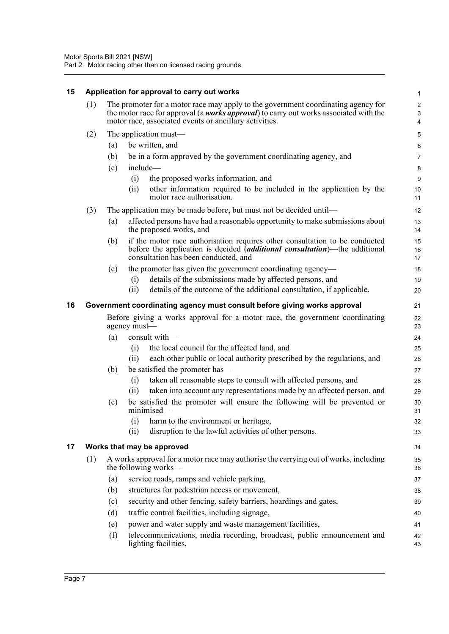<span id="page-17-2"></span><span id="page-17-1"></span><span id="page-17-0"></span>

| 15 |     |                                                                                                                                                                      | Application for approval to carry out works                                                                                                                                                                                          | $\mathbf{1}$                                                    |
|----|-----|----------------------------------------------------------------------------------------------------------------------------------------------------------------------|--------------------------------------------------------------------------------------------------------------------------------------------------------------------------------------------------------------------------------------|-----------------------------------------------------------------|
|    | (1) |                                                                                                                                                                      | The promoter for a motor race may apply to the government coordinating agency for<br>the motor race for approval (a works approval) to carry out works associated with the<br>motor race, associated events or ancillary activities. | $\boldsymbol{2}$<br>$\ensuremath{\mathsf{3}}$<br>$\overline{4}$ |
|    |     |                                                                                                                                                                      |                                                                                                                                                                                                                                      |                                                                 |
|    | (2) |                                                                                                                                                                      | The application must—                                                                                                                                                                                                                | $\mathbf 5$                                                     |
|    |     | (a)                                                                                                                                                                  | be written, and                                                                                                                                                                                                                      | $\,6\,$                                                         |
|    |     | (b)                                                                                                                                                                  | be in a form approved by the government coordinating agency, and                                                                                                                                                                     | $\overline{7}$                                                  |
|    |     | (c)                                                                                                                                                                  | include-                                                                                                                                                                                                                             | 8                                                               |
|    |     |                                                                                                                                                                      | the proposed works information, and<br>(i)<br>other information required to be included in the application by the<br>(ii)<br>motor race authorisation.                                                                               | $9\,$<br>10<br>11                                               |
|    | (3) |                                                                                                                                                                      | The application may be made before, but must not be decided until—                                                                                                                                                                   | 12                                                              |
|    |     | (a)                                                                                                                                                                  | affected persons have had a reasonable opportunity to make submissions about<br>the proposed works, and                                                                                                                              | 13<br>14                                                        |
|    |     | (b)                                                                                                                                                                  | if the motor race authorisation requires other consultation to be conducted<br>before the application is decided <i>(additional consultation)</i> —the additional<br>consultation has been conducted, and                            | 15<br>16<br>17                                                  |
|    |     | (c)                                                                                                                                                                  | the promoter has given the government coordinating agency—                                                                                                                                                                           | 18                                                              |
|    |     |                                                                                                                                                                      | details of the submissions made by affected persons, and<br>(i)                                                                                                                                                                      | 19                                                              |
|    |     |                                                                                                                                                                      | details of the outcome of the additional consultation, if applicable.<br>(ii)                                                                                                                                                        | 20                                                              |
| 16 |     | Government coordinating agency must consult before giving works approval<br>21<br>Before giving a works approval for a motor race, the government coordinating<br>22 |                                                                                                                                                                                                                                      |                                                                 |
|    |     |                                                                                                                                                                      | agency must-                                                                                                                                                                                                                         | 23                                                              |
|    |     | (a)                                                                                                                                                                  | consult with-                                                                                                                                                                                                                        | 24                                                              |
|    |     |                                                                                                                                                                      | the local council for the affected land, and<br>(i)                                                                                                                                                                                  | 25                                                              |
|    |     |                                                                                                                                                                      | each other public or local authority prescribed by the regulations, and<br>(ii)                                                                                                                                                      | 26                                                              |
|    |     | (b)                                                                                                                                                                  | be satisfied the promoter has—                                                                                                                                                                                                       | 27                                                              |
|    |     |                                                                                                                                                                      | taken all reasonable steps to consult with affected persons, and<br>(i)                                                                                                                                                              | 28                                                              |
|    |     |                                                                                                                                                                      | taken into account any representations made by an affected person, and<br>(ii)                                                                                                                                                       | 29                                                              |
|    |     | (c)                                                                                                                                                                  | be satisfied the promoter will ensure the following will be prevented or<br>minimised-                                                                                                                                               | 30<br>31                                                        |
|    |     |                                                                                                                                                                      | (i) harm to the environment or heritage.                                                                                                                                                                                             | 32                                                              |
|    |     |                                                                                                                                                                      | disruption to the lawful activities of other persons.<br>(ii)                                                                                                                                                                        | 33                                                              |
| 17 |     |                                                                                                                                                                      | Works that may be approved                                                                                                                                                                                                           | 34                                                              |
|    | (1) |                                                                                                                                                                      | A works approval for a motor race may authorise the carrying out of works, including<br>the following works—                                                                                                                         | 35<br>36                                                        |
|    |     | (a)                                                                                                                                                                  | service roads, ramps and vehicle parking,                                                                                                                                                                                            | 37                                                              |
|    |     | (b)                                                                                                                                                                  | structures for pedestrian access or movement,                                                                                                                                                                                        | 38                                                              |
|    |     | (c)                                                                                                                                                                  | security and other fencing, safety barriers, hoardings and gates,                                                                                                                                                                    | 39                                                              |
|    |     | (d)                                                                                                                                                                  | traffic control facilities, including signage,                                                                                                                                                                                       | 40                                                              |
|    |     | (e)                                                                                                                                                                  | power and water supply and waste management facilities,                                                                                                                                                                              | 41                                                              |
|    |     | (f)                                                                                                                                                                  | telecommunications, media recording, broadcast, public announcement and<br>lighting facilities,                                                                                                                                      | 42<br>43                                                        |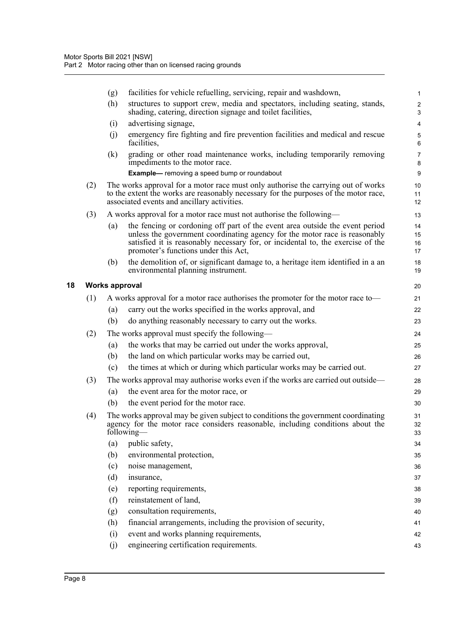|     | (g)                   | facilities for vehicle refuelling, servicing, repair and washdown,                                                                                                                                                                                                                    | $\mathbf{1}$         |
|-----|-----------------------|---------------------------------------------------------------------------------------------------------------------------------------------------------------------------------------------------------------------------------------------------------------------------------------|----------------------|
|     | (h)                   | structures to support crew, media and spectators, including seating, stands,<br>shading, catering, direction signage and toilet facilities,                                                                                                                                           | $\overline{2}$<br>3  |
|     | (i)                   | advertising signage,                                                                                                                                                                                                                                                                  | $\overline{4}$       |
|     | (j)                   | emergency fire fighting and fire prevention facilities and medical and rescue<br>facilities,                                                                                                                                                                                          | 5<br>6               |
|     | (k)                   | grading or other road maintenance works, including temporarily removing<br>impediments to the motor race.                                                                                                                                                                             | $\overline{7}$<br>8  |
|     |                       | <b>Example-</b> removing a speed bump or roundabout                                                                                                                                                                                                                                   | 9                    |
| (2) |                       | The works approval for a motor race must only authorise the carrying out of works<br>to the extent the works are reasonably necessary for the purposes of the motor race,<br>associated events and ancillary activities.                                                              | 10<br>11<br>12       |
| (3) |                       | A works approval for a motor race must not authorise the following—                                                                                                                                                                                                                   | 13                   |
|     | (a)                   | the fencing or cordoning off part of the event area outside the event period<br>unless the government coordinating agency for the motor race is reasonably<br>satisfied it is reasonably necessary for, or incidental to, the exercise of the<br>promoter's functions under this Act, | 14<br>15<br>16<br>17 |
|     | (b)                   | the demolition of, or significant damage to, a heritage item identified in a an<br>environmental planning instrument.                                                                                                                                                                 | 18<br>19             |
|     | <b>Works approval</b> |                                                                                                                                                                                                                                                                                       | 20                   |
| (1) |                       | A works approval for a motor race authorises the promoter for the motor race to—                                                                                                                                                                                                      | 21                   |
|     | (a)                   | carry out the works specified in the works approval, and                                                                                                                                                                                                                              | 22                   |
|     | (b)                   | do anything reasonably necessary to carry out the works.                                                                                                                                                                                                                              | 23                   |
| (2) |                       | The works approval must specify the following—                                                                                                                                                                                                                                        | 24                   |
|     | (a)                   | the works that may be carried out under the works approval,                                                                                                                                                                                                                           | 25                   |
|     | (b)                   | the land on which particular works may be carried out,                                                                                                                                                                                                                                | 26                   |
|     | (c)                   | the times at which or during which particular works may be carried out.                                                                                                                                                                                                               | 27                   |
| (3) |                       | The works approval may authorise works even if the works are carried out outside—                                                                                                                                                                                                     | 28                   |
|     | (a)                   | the event area for the motor race, or                                                                                                                                                                                                                                                 | 29                   |
|     | (b)                   | the event period for the motor race.                                                                                                                                                                                                                                                  | 30                   |
| (4) |                       | The works approval may be given subject to conditions the government coordinating<br>agency for the motor race considers reasonable, including conditions about the<br>following—                                                                                                     | 31<br>32<br>33       |
|     | (a)                   | public safety,                                                                                                                                                                                                                                                                        | 34                   |
|     | (b)                   | environmental protection,                                                                                                                                                                                                                                                             | 35                   |
|     | (c)                   | noise management,                                                                                                                                                                                                                                                                     | 36                   |
|     | (d)                   | insurance,                                                                                                                                                                                                                                                                            | 37                   |
|     | (e)                   | reporting requirements,                                                                                                                                                                                                                                                               | 38                   |
|     | (f)                   | reinstatement of land,                                                                                                                                                                                                                                                                | 39                   |
|     | (g)                   | consultation requirements,                                                                                                                                                                                                                                                            | 40                   |
|     | (h)                   | financial arrangements, including the provision of security,                                                                                                                                                                                                                          | 41                   |
|     | (i)                   | event and works planning requirements,                                                                                                                                                                                                                                                | 42                   |
|     | (j)                   | engineering certification requirements.                                                                                                                                                                                                                                               | 43                   |

<span id="page-18-0"></span>**18 Works approval**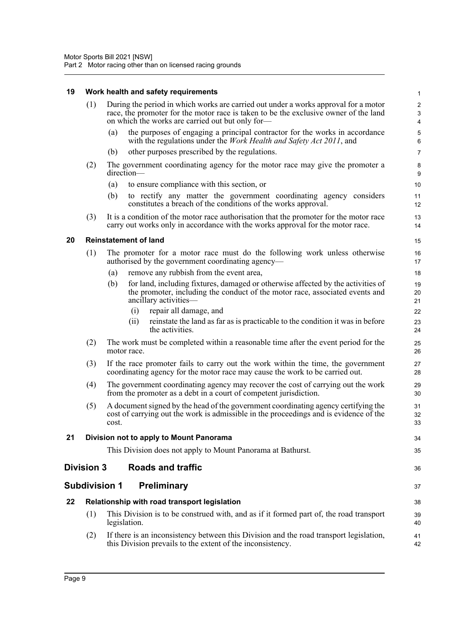#### **19 Work health and safety requirements**

<span id="page-19-5"></span><span id="page-19-4"></span><span id="page-19-3"></span><span id="page-19-2"></span><span id="page-19-1"></span><span id="page-19-0"></span>

| 19 |                   | Work health and safety requirements                                                                                                                                                                                             | $\mathbf{1}$                            |
|----|-------------------|---------------------------------------------------------------------------------------------------------------------------------------------------------------------------------------------------------------------------------|-----------------------------------------|
|    | (1)               | During the period in which works are carried out under a works approval for a motor<br>race, the promoter for the motor race is taken to be the exclusive owner of the land<br>on which the works are carried out but only for- | $\boldsymbol{2}$<br>3<br>$\overline{4}$ |
|    |                   | the purposes of engaging a principal contractor for the works in accordance<br>(a)<br>with the regulations under the <i>Work Health and Safety Act 2011</i> , and                                                               | 5<br>6                                  |
|    |                   | other purposes prescribed by the regulations.<br>(b)                                                                                                                                                                            | $\overline{7}$                          |
|    | (2)               | The government coordinating agency for the motor race may give the promoter a<br>direction-                                                                                                                                     | 8<br>9                                  |
|    |                   | to ensure compliance with this section, or<br>(a)                                                                                                                                                                               | 10                                      |
|    |                   | (b)<br>to rectify any matter the government coordinating agency considers<br>constitutes a breach of the conditions of the works approval.                                                                                      | 11<br>12                                |
|    | (3)               | It is a condition of the motor race authorisation that the promoter for the motor race<br>carry out works only in accordance with the works approval for the motor race.                                                        | 13<br>14                                |
| 20 |                   | <b>Reinstatement of land</b>                                                                                                                                                                                                    | 15                                      |
|    | (1)               | The promoter for a motor race must do the following work unless otherwise<br>authorised by the government coordinating agency—                                                                                                  | 16<br>17                                |
|    |                   | remove any rubbish from the event area,<br>(a)                                                                                                                                                                                  | 18                                      |
|    |                   | (b)<br>for land, including fixtures, damaged or otherwise affected by the activities of<br>the promoter, including the conduct of the motor race, associated events and<br>ancillary activities-                                | 19<br>20<br>21                          |
|    |                   | repair all damage, and<br>(i)                                                                                                                                                                                                   | 22                                      |
|    |                   | reinstate the land as far as is practicable to the condition it was in before<br>(i)<br>the activities.                                                                                                                         | 23<br>24                                |
|    | (2)               | The work must be completed within a reasonable time after the event period for the<br>motor race.                                                                                                                               | 25<br>26                                |
|    | (3)               | If the race promoter fails to carry out the work within the time, the government<br>coordinating agency for the motor race may cause the work to be carried out.                                                                | 27<br>28                                |
|    | (4)               | The government coordinating agency may recover the cost of carrying out the work<br>from the promoter as a debt in a court of competent jurisdiction.                                                                           | 29<br>30                                |
|    | (5)               | A document signed by the head of the government coordinating agency certifying the<br>cost of carrying out the work is admissible in the proceedings and is evidence of the<br>cost.                                            | 31<br>32<br>33                          |
| 21 |                   | Division not to apply to Mount Panorama                                                                                                                                                                                         | 34                                      |
|    |                   | This Division does not apply to Mount Panorama at Bathurst.                                                                                                                                                                     | 35                                      |
|    | <b>Division 3</b> | <b>Roads and traffic</b>                                                                                                                                                                                                        | 36                                      |
|    |                   | <b>Subdivision 1</b><br><b>Preliminary</b>                                                                                                                                                                                      | 37                                      |
| 22 |                   | Relationship with road transport legislation                                                                                                                                                                                    | 38                                      |
|    | (1)               | This Division is to be construed with, and as if it formed part of, the road transport<br>legislation.                                                                                                                          | 39<br>40                                |
|    | (2)               | If there is an inconsistency between this Division and the road transport legislation,<br>this Division prevails to the extent of the inconsistency.                                                                            | 41<br>42                                |
|    |                   |                                                                                                                                                                                                                                 |                                         |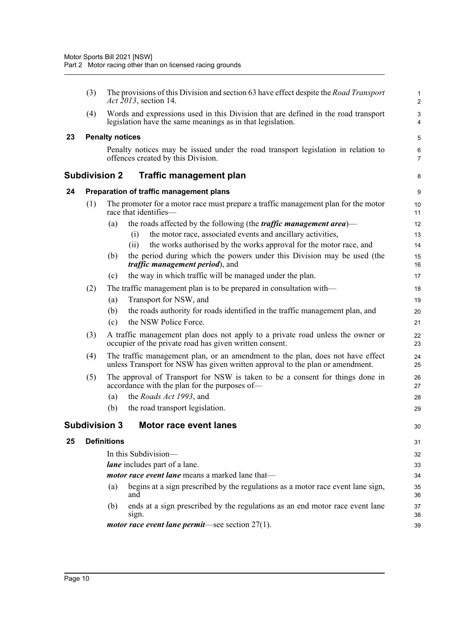<span id="page-20-4"></span><span id="page-20-3"></span><span id="page-20-2"></span><span id="page-20-1"></span><span id="page-20-0"></span>

|    | (3) |                        | The provisions of this Division and section 63 have effect despite the Road Transport<br><i>Act 2013</i> , section 14.                                          | $\mathbf{1}$<br>$\overline{c}$ |
|----|-----|------------------------|-----------------------------------------------------------------------------------------------------------------------------------------------------------------|--------------------------------|
|    | (4) |                        | Words and expressions used in this Division that are defined in the road transport<br>legislation have the same meanings as in that legislation.                | 3<br>4                         |
| 23 |     | <b>Penalty notices</b> |                                                                                                                                                                 | 5                              |
|    |     |                        | Penalty notices may be issued under the road transport legislation in relation to<br>offences created by this Division.                                         | 6<br>$\overline{7}$            |
|    |     | Subdivision 2          | <b>Traffic management plan</b>                                                                                                                                  | 8                              |
| 24 |     |                        | Preparation of traffic management plans                                                                                                                         | 9                              |
|    | (1) |                        | The promoter for a motor race must prepare a traffic management plan for the motor<br>race that identifies—                                                     | 10<br>11                       |
|    |     | (a)                    | the roads affected by the following (the <i>traffic management area</i> )—                                                                                      | 12                             |
|    |     |                        | the motor race, associated events and ancillary activities,<br>(i)                                                                                              | 13                             |
|    |     |                        | the works authorised by the works approval for the motor race, and<br>(ii)                                                                                      | 14                             |
|    |     | (b)                    | the period during which the powers under this Division may be used (the<br><i>traffic management period</i> ), and                                              | 15<br>16                       |
|    |     | (c)                    | the way in which traffic will be managed under the plan.                                                                                                        | 17                             |
|    | (2) |                        | The traffic management plan is to be prepared in consultation with—                                                                                             | 18                             |
|    |     | (a)                    | Transport for NSW, and                                                                                                                                          | 19                             |
|    |     | (b)                    | the roads authority for roads identified in the traffic management plan, and                                                                                    | 20                             |
|    |     | (c)                    | the NSW Police Force.                                                                                                                                           | 21                             |
|    | (3) |                        | A traffic management plan does not apply to a private road unless the owner or<br>occupier of the private road has given written consent.                       | 22<br>23                       |
|    | (4) |                        | The traffic management plan, or an amendment to the plan, does not have effect<br>unless Transport for NSW has given written approval to the plan or amendment. | 24<br>25                       |
|    | (5) |                        | The approval of Transport for NSW is taken to be a consent for things done in<br>accordance with the plan for the purposes of—                                  | 26<br>27                       |
|    |     | (a)                    | the Roads Act 1993, and                                                                                                                                         | 28                             |
|    |     | (b)                    | the road transport legislation.                                                                                                                                 | 29                             |
|    |     |                        | Subdivision 3   Motor race event lanes                                                                                                                          | 30                             |
| 25 |     | <b>Definitions</b>     |                                                                                                                                                                 | 31                             |
|    |     |                        | In this Subdivision-                                                                                                                                            | 32                             |
|    |     |                        | lane includes part of a lane.                                                                                                                                   | 33                             |
|    |     |                        | motor race event lane means a marked lane that-                                                                                                                 | 34                             |
|    |     | (a)                    | begins at a sign prescribed by the regulations as a motor race event lane sign,<br>and                                                                          | 35<br>36                       |
|    |     | (b)                    | ends at a sign prescribed by the regulations as an end motor race event lane<br>sign.                                                                           | 37<br>38                       |
|    |     |                        | <i>motor race event lane permit</i> —see section $27(1)$ .                                                                                                      | 39                             |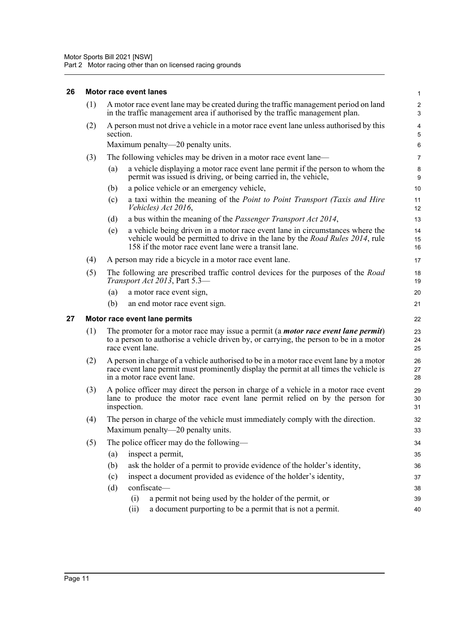#### <span id="page-21-0"></span>**26 Motor race event lanes**

<span id="page-21-1"></span>

|    | (1) | A motor race event lane may be created during the traffic management period on land<br>in the traffic management area if authorised by the traffic management plan.                                                                 | $\boldsymbol{2}$<br>$\mathbf{3}$ |  |  |
|----|-----|-------------------------------------------------------------------------------------------------------------------------------------------------------------------------------------------------------------------------------------|----------------------------------|--|--|
|    | (2) | A person must not drive a vehicle in a motor race event lane unless authorised by this<br>section.                                                                                                                                  | $\overline{\mathbf{4}}$<br>5     |  |  |
|    |     | Maximum penalty—20 penalty units.                                                                                                                                                                                                   | 6                                |  |  |
|    | (3) | The following vehicles may be driven in a motor race event lane—                                                                                                                                                                    | $\overline{7}$                   |  |  |
|    |     | a vehicle displaying a motor race event lane permit if the person to whom the<br>(a)<br>permit was issued is driving, or being carried in, the vehicle,                                                                             | 8<br>9                           |  |  |
|    |     | a police vehicle or an emergency vehicle,<br>(b)                                                                                                                                                                                    | 10                               |  |  |
|    |     | a taxi within the meaning of the Point to Point Transport (Taxis and Hire<br>(c)<br>Vehicles) Act 2016,                                                                                                                             | 11<br>12                         |  |  |
|    |     | a bus within the meaning of the <i>Passenger Transport Act 2014</i> ,<br>(d)                                                                                                                                                        | 13                               |  |  |
|    |     | a vehicle being driven in a motor race event lane in circumstances where the<br>(e)<br>vehicle would be permitted to drive in the lane by the <i>Road Rules</i> 2014, rule<br>158 if the motor race event lane were a transit lane. | 14<br>15<br>16                   |  |  |
|    | (4) | A person may ride a bicycle in a motor race event lane.                                                                                                                                                                             | 17                               |  |  |
|    | (5) | The following are prescribed traffic control devices for the purposes of the <i>Road</i><br>Transport Act 2013, Part 5.3-                                                                                                           | 18<br>19                         |  |  |
|    |     | (a)<br>a motor race event sign,                                                                                                                                                                                                     | 20                               |  |  |
|    |     | (b)<br>an end motor race event sign.                                                                                                                                                                                                | 21                               |  |  |
| 27 |     | Motor race event lane permits                                                                                                                                                                                                       | 22                               |  |  |
|    | (1) | The promoter for a motor race may issue a permit (a <i>motor race event lane permit</i> )<br>to a person to authorise a vehicle driven by, or carrying, the person to be in a motor<br>race event lane.                             | 23<br>24<br>25                   |  |  |
|    | (2) | A person in charge of a vehicle authorised to be in a motor race event lane by a motor<br>race event lane permit must prominently display the permit at all times the vehicle is<br>in a motor race event lane.                     | 26<br>27<br>28                   |  |  |
|    | (3) | A police officer may direct the person in charge of a vehicle in a motor race event<br>lane to produce the motor race event lane permit relied on by the person for<br>inspection.                                                  |                                  |  |  |
|    | (4) | The person in charge of the vehicle must immediately comply with the direction.<br>Maximum penalty-20 penalty units.                                                                                                                | 32<br>33                         |  |  |
|    | (5) | The police officer may do the following-                                                                                                                                                                                            | 34                               |  |  |
|    |     | inspect a permit,<br>(a)                                                                                                                                                                                                            | 35                               |  |  |
|    |     | (b)<br>ask the holder of a permit to provide evidence of the holder's identity,                                                                                                                                                     | 36                               |  |  |
|    |     | inspect a document provided as evidence of the holder's identity,<br>(c)                                                                                                                                                            | 37                               |  |  |
|    |     | confiscate-<br>(d)                                                                                                                                                                                                                  | 38                               |  |  |
|    |     | a permit not being used by the holder of the permit, or<br>(i)                                                                                                                                                                      | 39                               |  |  |
|    |     | a document purporting to be a permit that is not a permit.<br>(ii)                                                                                                                                                                  | 40                               |  |  |

1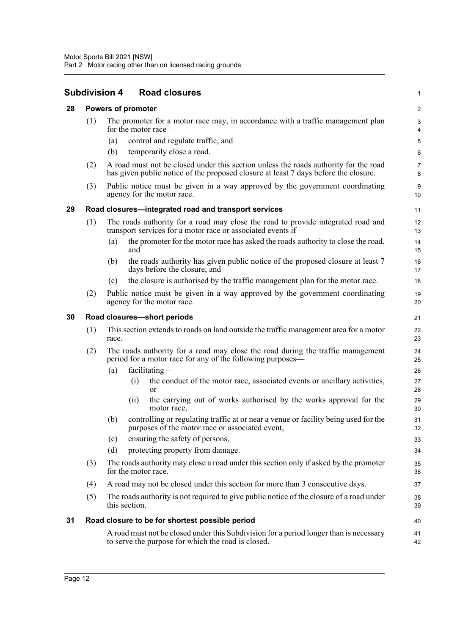<span id="page-22-4"></span><span id="page-22-3"></span><span id="page-22-2"></span><span id="page-22-1"></span><span id="page-22-0"></span>

|    |     | <b>Subdivision 4</b><br><b>Road closures</b>                                                                                                                                | 1                       |
|----|-----|-----------------------------------------------------------------------------------------------------------------------------------------------------------------------------|-------------------------|
| 28 |     | <b>Powers of promoter</b>                                                                                                                                                   | $\overline{\mathbf{c}}$ |
|    | (1) | The promoter for a motor race may, in accordance with a traffic management plan<br>for the motor race—                                                                      | 3<br>4                  |
|    |     | control and regulate traffic, and<br>(a)                                                                                                                                    | 5                       |
|    |     | temporarily close a road.<br>(b)                                                                                                                                            | 6                       |
|    | (2) | A road must not be closed under this section unless the roads authority for the road<br>has given public notice of the proposed closure at least 7 days before the closure. | 7<br>8                  |
|    | (3) | Public notice must be given in a way approved by the government coordinating<br>agency for the motor race.                                                                  | 9<br>10                 |
| 29 |     | Road closures-integrated road and transport services                                                                                                                        | 11                      |
|    | (1) | The roads authority for a road may close the road to provide integrated road and<br>transport services for a motor race or associated events if—                            | 12<br>13                |
|    |     | the promoter for the motor race has asked the roads authority to close the road,<br>(a)<br>and                                                                              | 14<br>15                |
|    |     | the roads authority has given public notice of the proposed closure at least 7<br>(b)<br>days before the closure, and                                                       | 16<br>17                |
|    |     | the closure is authorised by the traffic management plan for the motor race.<br>(c)                                                                                         | 18                      |
|    | (2) | Public notice must be given in a way approved by the government coordinating<br>agency for the motor race.                                                                  | 19<br>20                |
| 30 |     | Road closures-short periods                                                                                                                                                 | 21                      |
|    | (1) | This section extends to roads on land outside the traffic management area for a motor<br>race.                                                                              | 22<br>23                |
|    | (2) | The roads authority for a road may close the road during the traffic management<br>period for a motor race for any of the following purposes—                               | 24<br>25                |
|    |     | facilitating-<br>(a)                                                                                                                                                        | 26                      |
|    |     | (i)<br>the conduct of the motor race, associated events or ancillary activities,<br>or                                                                                      | 27<br>28                |
|    |     | the carrying out of works authorised by the works approval for the<br>(ii)<br>motor race,                                                                                   | 29<br>30                |
|    |     | controlling or regulating traffic at or near a venue or facility being used for the<br>(b)<br>purposes of the motor race or associated event,                               | 31<br>32                |
|    |     | ensuring the safety of persons,<br>(c)                                                                                                                                      | 33                      |
|    |     | protecting property from damage.<br>(d)                                                                                                                                     | 34                      |
|    | (3) | The roads authority may close a road under this section only if asked by the promoter<br>for the motor race.                                                                | 35<br>36                |
|    | (4) | A road may not be closed under this section for more than 3 consecutive days.                                                                                               | 37                      |
|    | (5) | The roads authority is not required to give public notice of the closure of a road under<br>this section.                                                                   | 38<br>39                |
| 31 |     | Road closure to be for shortest possible period                                                                                                                             | 40                      |
|    |     | A road must not be closed under this Subdivision for a period longer than is necessary<br>to serve the purpose for which the road is closed.                                | 41<br>42                |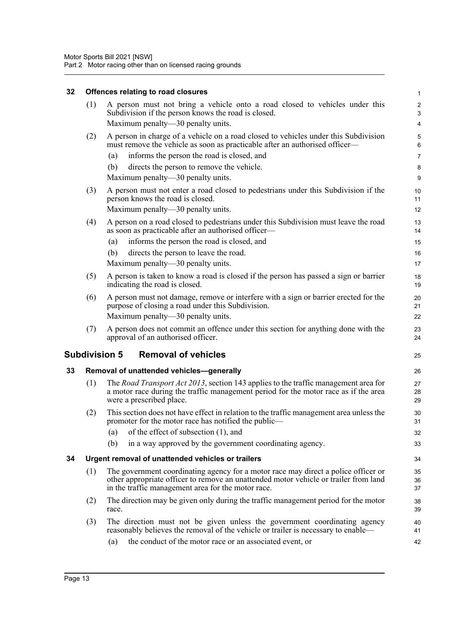#### **32 Offences relating to road closures**

<span id="page-23-3"></span><span id="page-23-2"></span><span id="page-23-1"></span><span id="page-23-0"></span>

| 32 |     | Offences relating to road closures                                                                                                                                                                                               | $\mathbf{1}$   |
|----|-----|----------------------------------------------------------------------------------------------------------------------------------------------------------------------------------------------------------------------------------|----------------|
|    | (1) | A person must not bring a vehicle onto a road closed to vehicles under this<br>Subdivision if the person knows the road is closed.<br>Maximum penalty—30 penalty units.                                                          | 2<br>3<br>4    |
|    |     |                                                                                                                                                                                                                                  |                |
|    | (2) | A person in charge of a vehicle on a road closed to vehicles under this Subdivision<br>must remove the vehicle as soon as practicable after an authorised officer-                                                               | 5<br>6         |
|    |     | informs the person the road is closed, and<br>(a)                                                                                                                                                                                | 7              |
|    |     | (b)<br>directs the person to remove the vehicle.                                                                                                                                                                                 | 8              |
|    |     | Maximum penalty—30 penalty units.                                                                                                                                                                                                | 9              |
|    | (3) | A person must not enter a road closed to pedestrians under this Subdivision if the<br>person knows the road is closed.<br>Maximum penalty-30 penalty units.                                                                      | 10<br>11<br>12 |
|    | (4) | A person on a road closed to pedestrians under this Subdivision must leave the road                                                                                                                                              | 13             |
|    |     | as soon as practicable after an authorised officer—                                                                                                                                                                              | 14             |
|    |     | informs the person the road is closed, and<br>(a)                                                                                                                                                                                | 15             |
|    |     | directs the person to leave the road.<br>(b)                                                                                                                                                                                     | 16             |
|    |     | Maximum penalty—30 penalty units.                                                                                                                                                                                                | 17             |
|    | (5) | A person is taken to know a road is closed if the person has passed a sign or barrier<br>indicating the road is closed.                                                                                                          | 18<br>19       |
|    | (6) | A person must not damage, remove or interfere with a sign or barrier erected for the<br>purpose of closing a road under this Subdivision.                                                                                        | 20<br>21       |
|    |     | Maximum penalty—30 penalty units.                                                                                                                                                                                                | 22             |
|    | (7) | A person does not commit an offence under this section for anything done with the<br>approval of an authorised officer.                                                                                                          | 23<br>24       |
|    |     | <b>Removal of vehicles</b><br><b>Subdivision 5</b>                                                                                                                                                                               | 25             |
| 33 |     | Removal of unattended vehicles-generally                                                                                                                                                                                         | 26             |
|    | (1) | The Road Transport Act 2013, section 143 applies to the traffic management area for<br>a motor race during the traffic management period for the motor race as if the area<br>were a prescribed place.                           | 27<br>28<br>29 |
|    | (2) | This section does not have effect in relation to the traffic management area unless the<br>promoter for the motor race has notified the public—                                                                                  | 30<br>31       |
|    |     | of the effect of subsection (1), and<br>(a)                                                                                                                                                                                      | 32             |
|    |     | (b)<br>in a way approved by the government coordinating agency.                                                                                                                                                                  | 33             |
| 34 |     | Urgent removal of unattended vehicles or trailers                                                                                                                                                                                | 34             |
|    | (1) | The government coordinating agency for a motor race may direct a police officer or<br>other appropriate officer to remove an unattended motor vehicle or trailer from land<br>in the traffic management area for the motor race. | 35<br>36<br>37 |
|    | (2) | The direction may be given only during the traffic management period for the motor<br>race.                                                                                                                                      | 38<br>39       |
|    | (3) | The direction must not be given unless the government coordinating agency<br>reasonably believes the removal of the vehicle or trailer is necessary to enable—                                                                   | 40<br>41       |
|    |     |                                                                                                                                                                                                                                  |                |
|    |     | the conduct of the motor race or an associated event, or<br>(a)                                                                                                                                                                  | 42             |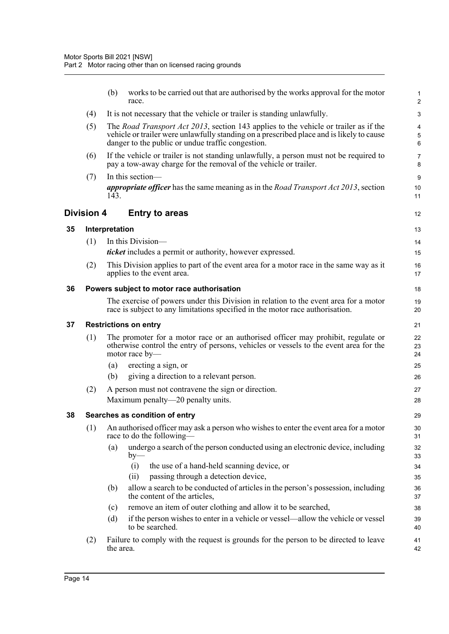<span id="page-24-4"></span><span id="page-24-3"></span><span id="page-24-2"></span><span id="page-24-1"></span><span id="page-24-0"></span>

|    |            | (b)            | works to be carried out that are authorised by the works approval for the motor<br>race.                                                                                                                                                      | 1<br>$\overline{2}$ |
|----|------------|----------------|-----------------------------------------------------------------------------------------------------------------------------------------------------------------------------------------------------------------------------------------------|---------------------|
|    | (4)        |                | It is not necessary that the vehicle or trailer is standing unlawfully.                                                                                                                                                                       | 3                   |
|    | (5)        |                | The <i>Road Transport Act 2013</i> , section 143 applies to the vehicle or trailer as if the<br>vehicle or trailer were unlawfully standing on a prescribed place and is likely to cause<br>danger to the public or undue traffic congestion. | 4<br>5<br>6         |
|    | (6)        |                | If the vehicle or trailer is not standing unlawfully, a person must not be required to<br>pay a tow-away charge for the removal of the vehicle or trailer.                                                                                    | 7<br>8              |
|    | (7)        | 143.           | In this section-<br><i>appropriate officer</i> has the same meaning as in the <i>Road Transport Act 2013</i> , section                                                                                                                        | 9<br>10<br>11       |
|    | Division 4 |                | <b>Entry to areas</b>                                                                                                                                                                                                                         | 12                  |
| 35 |            | Interpretation |                                                                                                                                                                                                                                               | 13                  |
|    | (1)        |                | In this Division-                                                                                                                                                                                                                             | 14                  |
|    |            |                | <i>ticket</i> includes a permit or authority, however expressed.                                                                                                                                                                              | 15                  |
|    | (2)        |                | This Division applies to part of the event area for a motor race in the same way as it<br>applies to the event area.                                                                                                                          | 16<br>17            |
| 36 |            |                | Powers subject to motor race authorisation                                                                                                                                                                                                    | 18                  |
|    |            |                | The exercise of powers under this Division in relation to the event area for a motor<br>race is subject to any limitations specified in the motor race authorisation.                                                                         | 19<br>20            |
| 37 |            |                | <b>Restrictions on entry</b>                                                                                                                                                                                                                  | 21                  |
|    | (1)        |                | The promoter for a motor race or an authorised officer may prohibit, regulate or<br>otherwise control the entry of persons, vehicles or vessels to the event area for the<br>motor race by-                                                   | 22<br>23<br>24      |
|    |            | (a)            | erecting a sign, or                                                                                                                                                                                                                           | 25                  |
|    |            | (b)            | giving a direction to a relevant person.                                                                                                                                                                                                      | 26                  |
|    | (2)        |                | A person must not contravene the sign or direction.                                                                                                                                                                                           | 27                  |
|    |            |                | Maximum penalty—20 penalty units.                                                                                                                                                                                                             | 28                  |
| 38 |            |                | Searches as condition of entry                                                                                                                                                                                                                | 29                  |
|    | (1)        |                | An authorised officer may ask a person who wishes to enter the event area for a motor<br>race to do the following-                                                                                                                            | 30<br>31            |
|    |            | (a)            | undergo a search of the person conducted using an electronic device, including<br>$by-$                                                                                                                                                       | 32<br>33            |
|    |            |                | the use of a hand-held scanning device, or<br>(i)                                                                                                                                                                                             | 34                  |
|    |            |                | passing through a detection device,<br>(ii)                                                                                                                                                                                                   | 35                  |
|    |            | (b)            | allow a search to be conducted of articles in the person's possession, including<br>the content of the articles,                                                                                                                              | 36<br>37            |
|    |            | (c)            | remove an item of outer clothing and allow it to be searched,                                                                                                                                                                                 | 38                  |
|    |            | (d)            | if the person wishes to enter in a vehicle or vessel—allow the vehicle or vessel<br>to be searched.                                                                                                                                           | 39<br>40            |
|    | (2)        | the area.      | Failure to comply with the request is grounds for the person to be directed to leave                                                                                                                                                          | 41<br>42            |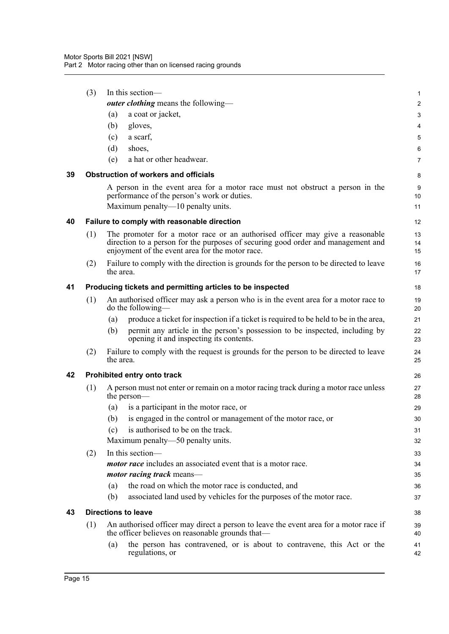<span id="page-25-4"></span><span id="page-25-3"></span><span id="page-25-2"></span><span id="page-25-1"></span><span id="page-25-0"></span>

|    | (3) |           | In this section-<br><b><i>outer clothing</i></b> means the following—                                                                                                                                               | 1<br>$\overline{2}$ |
|----|-----|-----------|---------------------------------------------------------------------------------------------------------------------------------------------------------------------------------------------------------------------|---------------------|
|    |     | (a)       | a coat or jacket,                                                                                                                                                                                                   | 3                   |
|    |     | (b)       | gloves,                                                                                                                                                                                                             | 4                   |
|    |     | (c)       | a scarf,                                                                                                                                                                                                            | 5                   |
|    |     | (d)       | shoes,                                                                                                                                                                                                              | 6                   |
|    |     | (e)       | a hat or other headwear.                                                                                                                                                                                            | $\overline{7}$      |
| 39 |     |           | <b>Obstruction of workers and officials</b>                                                                                                                                                                         | 8                   |
|    |     |           | A person in the event area for a motor race must not obstruct a person in the<br>performance of the person's work or duties.                                                                                        | 9<br>10             |
|    |     |           | Maximum penalty—10 penalty units.                                                                                                                                                                                   | 11                  |
| 40 |     |           | Failure to comply with reasonable direction                                                                                                                                                                         | 12                  |
|    | (1) |           | The promoter for a motor race or an authorised officer may give a reasonable<br>direction to a person for the purposes of securing good order and management and<br>enjoyment of the event area for the motor race. | 13<br>14<br>15      |
|    | (2) | the area. | Failure to comply with the direction is grounds for the person to be directed to leave                                                                                                                              | 16<br>17            |
| 41 |     |           | Producing tickets and permitting articles to be inspected                                                                                                                                                           | 18                  |
|    | (1) |           | An authorised officer may ask a person who is in the event area for a motor race to<br>do the following—                                                                                                            | 19<br>20            |
|    |     | (a)       | produce a ticket for inspection if a ticket is required to be held to be in the area,                                                                                                                               | 21                  |
|    |     | (b)       | permit any article in the person's possession to be inspected, including by<br>opening it and inspecting its contents.                                                                                              | 22<br>23            |
|    | (2) | the area. | Failure to comply with the request is grounds for the person to be directed to leave                                                                                                                                | 24<br>25            |
| 42 |     |           | Prohibited entry onto track                                                                                                                                                                                         | 26                  |
|    | (1) |           | A person must not enter or remain on a motor racing track during a motor race unless<br>the person—                                                                                                                 | 27<br>28            |
|    |     | (a)       | is a participant in the motor race, or                                                                                                                                                                              | 29                  |
|    |     | (b)       | is engaged in the control or management of the motor race, or                                                                                                                                                       | 30                  |
|    |     | (c)       | is authorised to be on the track.                                                                                                                                                                                   | 31                  |
|    |     |           | Maximum penalty—50 penalty units.                                                                                                                                                                                   | 32                  |
|    | (2) |           | In this section-                                                                                                                                                                                                    | 33                  |
|    |     |           | <i>motor race</i> includes an associated event that is a motor race.                                                                                                                                                | 34                  |
|    |     |           | <i>motor racing track</i> means—                                                                                                                                                                                    | 35                  |
|    |     | (a)       | the road on which the motor race is conducted, and                                                                                                                                                                  | 36                  |
|    |     | (b)       | associated land used by vehicles for the purposes of the motor race.                                                                                                                                                | 37                  |
| 43 |     |           | <b>Directions to leave</b>                                                                                                                                                                                          | 38                  |
|    | (1) |           | An authorised officer may direct a person to leave the event area for a motor race if<br>the officer believes on reasonable grounds that—                                                                           | 39<br>40            |
|    |     | (a)       | the person has contravened, or is about to contravene, this Act or the<br>regulations, or                                                                                                                           | 41<br>42            |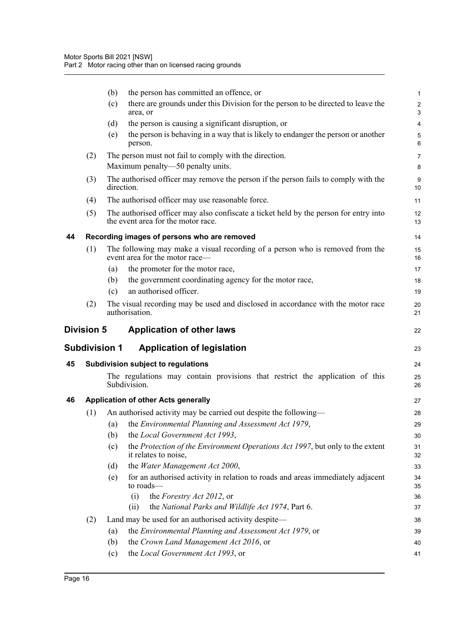<span id="page-26-4"></span><span id="page-26-3"></span><span id="page-26-2"></span><span id="page-26-1"></span><span id="page-26-0"></span>

|    |                      | the person has committed an offence, or<br>(b)                                                                              | 1                            |
|----|----------------------|-----------------------------------------------------------------------------------------------------------------------------|------------------------------|
|    |                      | there are grounds under this Division for the person to be directed to leave the<br>(c)<br>area, or                         | $\overline{\mathbf{c}}$<br>3 |
|    |                      | the person is causing a significant disruption, or<br>(d)                                                                   | 4                            |
|    |                      | the person is behaving in a way that is likely to endanger the person or another<br>(e)<br>person.                          | 5<br>6                       |
|    | (2)                  | The person must not fail to comply with the direction.                                                                      | 7                            |
|    |                      | Maximum penalty-50 penalty units.                                                                                           | 8                            |
|    | (3)                  | The authorised officer may remove the person if the person fails to comply with the<br>direction.                           | 9<br>10                      |
|    | (4)                  | The authorised officer may use reasonable force.                                                                            | 11                           |
|    | (5)                  | The authorised officer may also confiscate a ticket held by the person for entry into<br>the event area for the motor race. | 12<br>13                     |
| 44 |                      | Recording images of persons who are removed                                                                                 | 14                           |
|    | (1)                  | The following may make a visual recording of a person who is removed from the<br>event area for the motor race-             | 15<br>16                     |
|    |                      | the promoter for the motor race,<br>(a)                                                                                     | 17                           |
|    |                      | the government coordinating agency for the motor race,<br>(b)                                                               | 18                           |
|    |                      | an authorised officer.<br>(c)                                                                                               | 19                           |
|    | (2)                  | The visual recording may be used and disclosed in accordance with the motor race<br>authorisation.                          | 20<br>21                     |
|    |                      |                                                                                                                             |                              |
|    | <b>Division 5</b>    | <b>Application of other laws</b>                                                                                            | 22                           |
|    | <b>Subdivision 1</b> | <b>Application of legislation</b>                                                                                           | 23                           |
| 45 |                      | Subdivision subject to regulations                                                                                          | 24                           |
|    |                      | The regulations may contain provisions that restrict the application of this<br>Subdivision.                                | 25<br>26                     |
| 46 |                      | <b>Application of other Acts generally</b>                                                                                  | 27                           |
|    | (1)                  | An authorised activity may be carried out despite the following—                                                            | 28                           |
|    |                      | (a) the Environmental Planning and Assessment Act 1979,                                                                     | 29                           |
|    |                      | the Local Government Act 1993,<br>(b)                                                                                       | 30                           |
|    |                      | the Protection of the Environment Operations Act 1997, but only to the extent<br>(c)<br>it relates to noise,                | 31<br>32                     |
|    |                      | the Water Management Act 2000,<br>(d)                                                                                       | 33                           |
|    |                      | for an authorised activity in relation to roads and areas immediately adjacent<br>(e)<br>to roads—                          | 34<br>35                     |
|    |                      | the Forestry Act 2012, or<br>(i)                                                                                            | 36                           |
|    |                      | the National Parks and Wildlife Act 1974, Part 6.<br>(ii)                                                                   | 37                           |
|    | (2)                  | Land may be used for an authorised activity despite-                                                                        | 38                           |
|    |                      | the Environmental Planning and Assessment Act 1979, or<br>(a)                                                               | 39                           |
|    |                      | the Crown Land Management Act 2016, or<br>(b)<br>the Local Government Act 1993, or<br>(c)                                   | 40<br>41                     |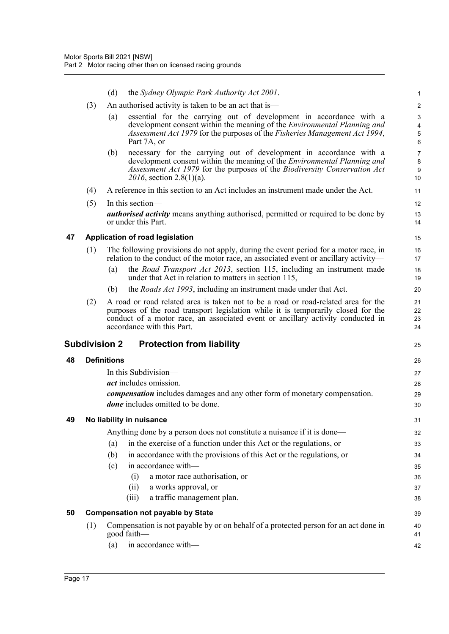<span id="page-27-4"></span><span id="page-27-3"></span><span id="page-27-2"></span><span id="page-27-1"></span><span id="page-27-0"></span>

|    |     | (d)<br>the Sydney Olympic Park Authority Act 2001.                                                                                                                                                                                                                                                                                                                                 | $\mathbf{1}$                                          |
|----|-----|------------------------------------------------------------------------------------------------------------------------------------------------------------------------------------------------------------------------------------------------------------------------------------------------------------------------------------------------------------------------------------|-------------------------------------------------------|
|    | (3) | An authorised activity is taken to be an act that is—                                                                                                                                                                                                                                                                                                                              | $\overline{c}$                                        |
|    |     | essential for the carrying out of development in accordance with a<br>(a)<br>development consent within the meaning of the <i>Environmental Planning and</i><br>Assessment Act 1979 for the purposes of the Fisheries Management Act 1994,<br>Part 7A, or                                                                                                                          | $\ensuremath{\mathsf{3}}$<br>4<br>$\overline{5}$<br>6 |
|    |     | necessary for the carrying out of development in accordance with a<br>(b)<br>development consent within the meaning of the <i>Environmental Planning and</i><br>Assessment Act 1979 for the purposes of the Biodiversity Conservation Act<br>2016, section 2.8(1)(a).                                                                                                              | $\overline{7}$<br>8<br>9<br>10                        |
|    | (4) | A reference in this section to an Act includes an instrument made under the Act.                                                                                                                                                                                                                                                                                                   | 11                                                    |
|    | (5) | In this section—                                                                                                                                                                                                                                                                                                                                                                   | 12                                                    |
|    |     | <b><i>authorised activity</i></b> means anything authorised, permitted or required to be done by<br>or under this Part.                                                                                                                                                                                                                                                            | 13<br>14                                              |
| 47 |     | Application of road legislation                                                                                                                                                                                                                                                                                                                                                    | 15                                                    |
|    | (1) | The following provisions do not apply, during the event period for a motor race, in<br>relation to the conduct of the motor race, an associated event or ancillary activity—                                                                                                                                                                                                       | 16<br>17                                              |
|    |     | the <i>Road Transport Act 2013</i> , section 115, including an instrument made<br>(a)<br>under that Act in relation to matters in section 115,                                                                                                                                                                                                                                     | 18<br>19                                              |
|    |     | the <i>Roads Act 1993</i> , including an instrument made under that Act.<br>(b)                                                                                                                                                                                                                                                                                                    | 20                                                    |
|    | (2) | A road or road related area is taken not to be a road or road-related area for the<br>purposes of the road transport legislation while it is temporarily closed for the<br>conduct of a motor race, an associated event or ancillary activity conducted in<br>accordance with this Part.                                                                                           | 21<br>22<br>23<br>24                                  |
|    |     |                                                                                                                                                                                                                                                                                                                                                                                    |                                                       |
|    |     | Subdivision 2<br><b>Protection from liability</b>                                                                                                                                                                                                                                                                                                                                  | 25                                                    |
| 48 |     | <b>Definitions</b>                                                                                                                                                                                                                                                                                                                                                                 | 26                                                    |
|    |     | In this Subdivision—<br><i>act</i> includes omission.<br><i>compensation</i> includes damages and any other form of monetary compensation.<br><i>done</i> includes omitted to be done.                                                                                                                                                                                             | 27<br>28<br>29<br>30                                  |
| 49 |     | No liability in nuisance                                                                                                                                                                                                                                                                                                                                                           | 31                                                    |
|    |     | Anything done by a person does not constitute a nuisance if it is done—<br>in the exercise of a function under this Act or the regulations, or<br>(a)<br>in accordance with the provisions of this Act or the regulations, or<br>(b)<br>in accordance with-<br>(c)<br>a motor race authorisation, or<br>(i)<br>a works approval, or<br>(ii)<br>a traffic management plan.<br>(iii) | 32<br>33<br>34<br>35<br>36<br>37<br>38                |
| 50 |     | <b>Compensation not payable by State</b>                                                                                                                                                                                                                                                                                                                                           | 39                                                    |
|    | (1) | Compensation is not payable by or on behalf of a protected person for an act done in<br>good faith-                                                                                                                                                                                                                                                                                | 40<br>41                                              |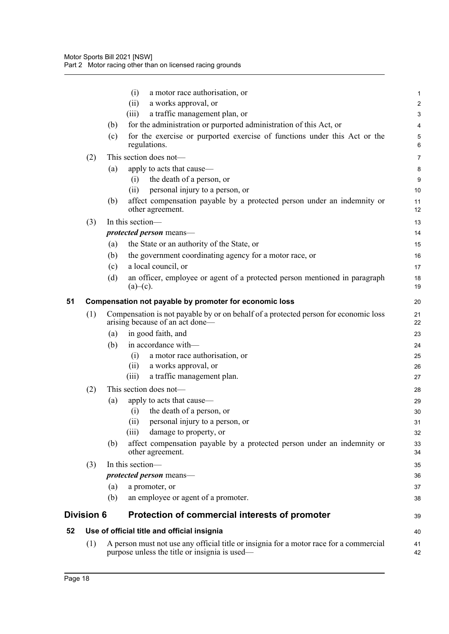<span id="page-28-2"></span><span id="page-28-1"></span><span id="page-28-0"></span>

|    |            | (i)<br>a motor race authorisation, or                                                                                                   | 1              |
|----|------------|-----------------------------------------------------------------------------------------------------------------------------------------|----------------|
|    |            | a works approval, or<br>(ii)                                                                                                            | $\overline{c}$ |
|    |            | a traffic management plan, or<br>(iii)                                                                                                  | 3              |
|    |            | for the administration or purported administration of this Act, or<br>(b)                                                               | 4              |
|    |            | for the exercise or purported exercise of functions under this Act or the<br>(c)<br>regulations.                                        | 5<br>6         |
|    | (2)        | This section does not-                                                                                                                  | $\overline{7}$ |
|    |            | apply to acts that cause—<br>(a)                                                                                                        | 8              |
|    |            | the death of a person, or<br>(i)                                                                                                        | 9              |
|    |            | personal injury to a person, or<br>(ii)                                                                                                 | 10             |
|    |            | affect compensation payable by a protected person under an indemnity or<br>(b)<br>other agreement.                                      | 11<br>12       |
|    | (3)        | In this section-                                                                                                                        | 13             |
|    |            | protected person means-                                                                                                                 | 14             |
|    |            | the State or an authority of the State, or<br>(a)                                                                                       | 15             |
|    |            | the government coordinating agency for a motor race, or<br>(b)                                                                          | 16             |
|    |            | a local council, or<br>(c)                                                                                                              | 17             |
|    |            | an officer, employee or agent of a protected person mentioned in paragraph<br>(d)<br>$(a)$ – $(c)$ .                                    | 18<br>19       |
| 51 |            | Compensation not payable by promoter for economic loss                                                                                  | 20             |
|    | (1)        | Compensation is not payable by or on behalf of a protected person for economic loss<br>arising because of an act done—                  | 21<br>22       |
|    |            | in good faith, and<br>(a)                                                                                                               | 23             |
|    |            | in accordance with-<br>(b)                                                                                                              | 24             |
|    |            | a motor race authorisation, or<br>(i)                                                                                                   | 25             |
|    |            | a works approval, or<br>(ii)                                                                                                            | 26             |
|    |            | a traffic management plan.<br>(111)                                                                                                     | 27             |
|    | (2)        | This section does not-                                                                                                                  | 28             |
|    |            | apply to acts that cause—<br>(a)                                                                                                        | 29             |
|    |            | the death of a person, or<br>(i)                                                                                                        | 30             |
|    |            | personal injury to a person, or<br>(ii)                                                                                                 | 31             |
|    |            | damage to property, or<br>(iii)                                                                                                         | 32             |
|    |            | affect compensation payable by a protected person under an indemnity or<br>(b)<br>other agreement.                                      | 33<br>34       |
|    | (3)        | In this section-                                                                                                                        | 35             |
|    |            | protected person means-                                                                                                                 | 36             |
|    |            | (a)<br>a promoter, or                                                                                                                   | 37             |
|    |            | an employee or agent of a promoter.<br>(b)                                                                                              | 38             |
|    | Division 6 | Protection of commercial interests of promoter                                                                                          | 39             |
| 52 |            | Use of official title and official insignia                                                                                             | 40             |
|    | (1)        | A person must not use any official title or insignia for a motor race for a commercial<br>purpose unless the title or insignia is used— | 41<br>42       |
|    |            |                                                                                                                                         |                |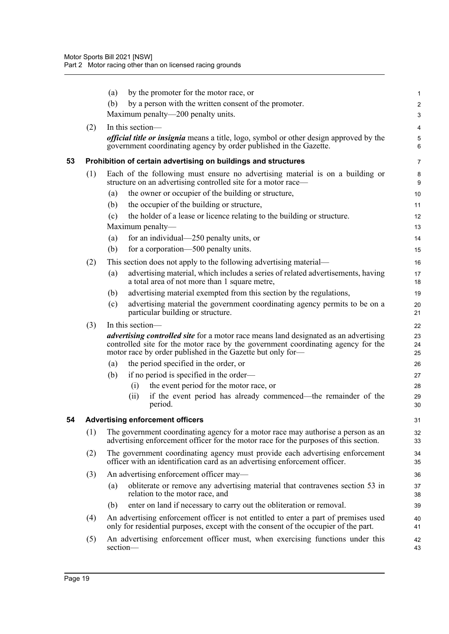<span id="page-29-1"></span><span id="page-29-0"></span>

|    |     | by the promoter for the motor race, or<br>(a)                                                                                                                                                                                                 | 1                |
|----|-----|-----------------------------------------------------------------------------------------------------------------------------------------------------------------------------------------------------------------------------------------------|------------------|
|    |     | (b)<br>by a person with the written consent of the promoter.                                                                                                                                                                                  | $\overline{c}$   |
|    |     | Maximum penalty—200 penalty units.                                                                                                                                                                                                            | 3                |
|    | (2) | In this section-                                                                                                                                                                                                                              | 4                |
|    |     | <i>official title or insignia</i> means a title, logo, symbol or other design approved by the<br>government coordinating agency by order published in the Gazette.                                                                            | $\mathbf 5$<br>6 |
| 53 |     | Prohibition of certain advertising on buildings and structures                                                                                                                                                                                |                  |
|    |     |                                                                                                                                                                                                                                               | 7                |
|    | (1) | Each of the following must ensure no advertising material is on a building or<br>structure on an advertising controlled site for a motor race—                                                                                                | 8<br>9           |
|    |     | the owner or occupier of the building or structure,<br>(a)                                                                                                                                                                                    | 10               |
|    |     | the occupier of the building or structure,<br>(b)                                                                                                                                                                                             | 11               |
|    |     | the holder of a lease or licence relating to the building or structure.<br>(c)                                                                                                                                                                | 12               |
|    |     | Maximum penalty—                                                                                                                                                                                                                              | 13               |
|    |     | for an individual—250 penalty units, or<br>(a)                                                                                                                                                                                                | 14               |
|    |     | (b)<br>for a corporation—500 penalty units.                                                                                                                                                                                                   | 15               |
|    | (2) | This section does not apply to the following advertising material—                                                                                                                                                                            | 16               |
|    |     | advertising material, which includes a series of related advertisements, having<br>(a)<br>a total area of not more than 1 square metre,                                                                                                       | 17<br>18         |
|    |     | advertising material exempted from this section by the regulations,<br>(b)                                                                                                                                                                    | 19               |
|    |     | advertising material the government coordinating agency permits to be on a<br>(c)<br>particular building or structure.                                                                                                                        | 20<br>21         |
|    | (3) | In this section—                                                                                                                                                                                                                              | 22               |
|    |     | <i>advertising controlled site</i> for a motor race means land designated as an advertising<br>controlled site for the motor race by the government coordinating agency for the<br>motor race by order published in the Gazette but only for- | 23<br>24<br>25   |
|    |     | the period specified in the order, or<br>(a)                                                                                                                                                                                                  | 26               |
|    |     | if no period is specified in the order—<br>(b)                                                                                                                                                                                                | 27               |
|    |     | the event period for the motor race, or<br>(i)                                                                                                                                                                                                | 28               |
|    |     | if the event period has already commenced—the remainder of the<br>(ii)<br>period.                                                                                                                                                             | 29<br>30         |
| 54 |     | <b>Advertising enforcement officers</b>                                                                                                                                                                                                       | 31               |
|    | (1) | The government coordinating agency for a motor race may authorise a person as an<br>advertising enforcement officer for the motor race for the purposes of this section.                                                                      | 32<br>33         |
|    | (2) | The government coordinating agency must provide each advertising enforcement<br>officer with an identification card as an advertising enforcement officer.                                                                                    | 34<br>35         |
|    | (3) | An advertising enforcement officer may-                                                                                                                                                                                                       | 36               |
|    |     | obliterate or remove any advertising material that contravenes section 53 in<br>(a)<br>relation to the motor race, and                                                                                                                        | 37<br>38         |
|    |     | enter on land if necessary to carry out the obliteration or removal.<br>(b)                                                                                                                                                                   | 39               |
|    | (4) | An advertising enforcement officer is not entitled to enter a part of premises used<br>only for residential purposes, except with the consent of the occupier of the part.                                                                    | 40<br>41         |
|    | (5) | An advertising enforcement officer must, when exercising functions under this<br>section-                                                                                                                                                     | 42<br>43         |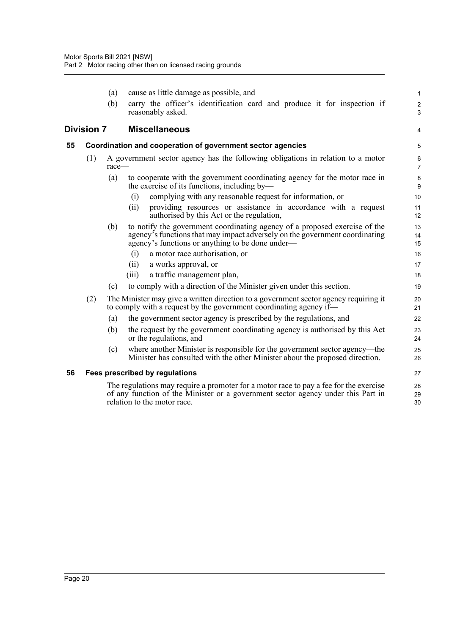<span id="page-30-2"></span><span id="page-30-1"></span><span id="page-30-0"></span>

|    |                   | (a)      | cause as little damage as possible, and                                                                                                                                                                       | 1                            |
|----|-------------------|----------|---------------------------------------------------------------------------------------------------------------------------------------------------------------------------------------------------------------|------------------------------|
|    |                   | (b)      | carry the officer's identification card and produce it for inspection if<br>reasonably asked.                                                                                                                 | $\overline{\mathbf{c}}$<br>3 |
|    | <b>Division 7</b> |          | <b>Miscellaneous</b>                                                                                                                                                                                          | 4                            |
| 55 |                   |          | Coordination and cooperation of government sector agencies                                                                                                                                                    | 5                            |
|    | (1)               | $race -$ | A government sector agency has the following obligations in relation to a motor                                                                                                                               | 6<br>$\overline{7}$          |
|    |                   | (a)      | to cooperate with the government coordinating agency for the motor race in<br>the exercise of its functions, including by—                                                                                    | 8<br>9                       |
|    |                   |          | complying with any reasonable request for information, or<br>(i)                                                                                                                                              | 10                           |
|    |                   |          | providing resources or assistance in accordance with a request<br>(ii)<br>authorised by this Act or the regulation,                                                                                           | 11<br>12                     |
|    |                   | (b)      | to notify the government coordinating agency of a proposed exercise of the<br>agency's functions that may impact adversely on the government coordinating<br>agency's functions or anything to be done under— | 13<br>14<br>15               |
|    |                   |          | a motor race authorisation, or<br>(i)                                                                                                                                                                         | 16                           |
|    |                   |          | a works approval, or<br>(i)                                                                                                                                                                                   | 17                           |
|    |                   |          | a traffic management plan,<br>(iii)                                                                                                                                                                           | 18                           |
|    |                   | (c)      | to comply with a direction of the Minister given under this section.                                                                                                                                          | 19                           |
|    | (2)               |          | The Minister may give a written direction to a government sector agency requiring it<br>to comply with a request by the government coordinating agency if—                                                    | 20<br>21                     |
|    |                   | (a)      | the government sector agency is prescribed by the regulations, and                                                                                                                                            | 22                           |
|    |                   | (b)      | the request by the government coordinating agency is authorised by this Act<br>or the regulations, and                                                                                                        | 23<br>24                     |
|    |                   | (c)      | where another Minister is responsible for the government sector agency—the<br>Minister has consulted with the other Minister about the proposed direction.                                                    | 25<br>26                     |
| 56 |                   |          | Fees prescribed by regulations                                                                                                                                                                                | 27                           |
|    |                   |          | The regulations may require a promoter for a motor race to pay a fee for the exercise<br>of any function of the Minister or a government sector agency under this Part in<br>relation to the motor race.      | 28<br>29<br>30               |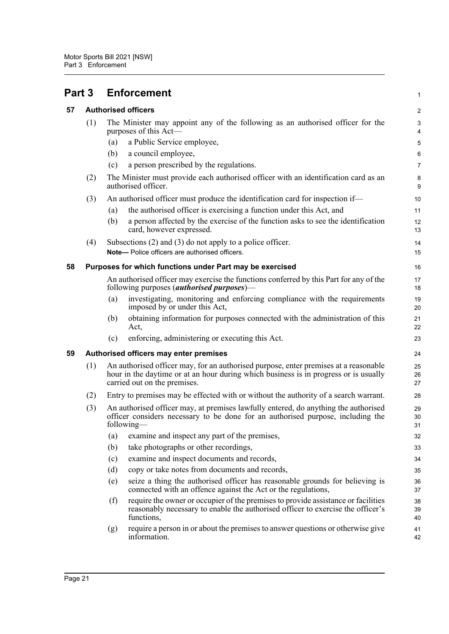<span id="page-31-3"></span><span id="page-31-2"></span><span id="page-31-1"></span><span id="page-31-0"></span>

| Part 3 |                                        |                                                                                                                                                                                                              | <b>Enforcement</b>                                                                                                                                                                   | 1                       |
|--------|----------------------------------------|--------------------------------------------------------------------------------------------------------------------------------------------------------------------------------------------------------------|--------------------------------------------------------------------------------------------------------------------------------------------------------------------------------------|-------------------------|
| 57     |                                        |                                                                                                                                                                                                              | <b>Authorised officers</b>                                                                                                                                                           | $\overline{\mathbf{c}}$ |
|        | (1)                                    |                                                                                                                                                                                                              | The Minister may appoint any of the following as an authorised officer for the<br>purposes of this Act—                                                                              | 3<br>4                  |
|        |                                        | (a)                                                                                                                                                                                                          | a Public Service employee,                                                                                                                                                           | 5                       |
|        |                                        | (b)                                                                                                                                                                                                          | a council employee,                                                                                                                                                                  | 6                       |
|        |                                        | (c)                                                                                                                                                                                                          | a person prescribed by the regulations.                                                                                                                                              | 7                       |
|        | (2)                                    |                                                                                                                                                                                                              | The Minister must provide each authorised officer with an identification card as an<br>authorised officer.                                                                           | 8<br>9                  |
|        | (3)                                    |                                                                                                                                                                                                              | An authorised officer must produce the identification card for inspection if—                                                                                                        | 10                      |
|        |                                        | (a)                                                                                                                                                                                                          | the authorised officer is exercising a function under this Act, and                                                                                                                  | 11                      |
|        |                                        | (b)                                                                                                                                                                                                          | a person affected by the exercise of the function asks to see the identification<br>card, however expressed.                                                                         | 12<br>13                |
|        | (4)                                    |                                                                                                                                                                                                              | Subsections $(2)$ and $(3)$ do not apply to a police officer.                                                                                                                        | 14                      |
|        |                                        |                                                                                                                                                                                                              | Note- Police officers are authorised officers.                                                                                                                                       | 15                      |
| 58     |                                        |                                                                                                                                                                                                              | Purposes for which functions under Part may be exercised                                                                                                                             | 16                      |
|        |                                        |                                                                                                                                                                                                              | An authorised officer may exercise the functions conferred by this Part for any of the<br>following purposes ( <i>authorised purposes</i> )—                                         | 17<br>18                |
|        |                                        | (a)                                                                                                                                                                                                          | investigating, monitoring and enforcing compliance with the requirements<br>imposed by or under this Act,                                                                            | 19<br>20                |
|        |                                        | (b)                                                                                                                                                                                                          | obtaining information for purposes connected with the administration of this<br>Act,                                                                                                 | 21<br>22                |
|        |                                        | (c)                                                                                                                                                                                                          | enforcing, administering or executing this Act.                                                                                                                                      | 23                      |
| 59     | Authorised officers may enter premises |                                                                                                                                                                                                              |                                                                                                                                                                                      |                         |
|        | (1)                                    | An authorised officer may, for an authorised purpose, enter premises at a reasonable<br>hour in the daytime or at an hour during which business is in progress or is usually<br>carried out on the premises. |                                                                                                                                                                                      |                         |
|        | (2)                                    |                                                                                                                                                                                                              | Entry to premises may be effected with or without the authority of a search warrant.                                                                                                 | 28                      |
|        | (3)                                    |                                                                                                                                                                                                              | An authorised officer may, at premises lawfully entered, do anything the authorised<br>officer considers necessary to be done for an authorised purpose, including the<br>following- | 29<br>30<br>31          |
|        |                                        | (a)                                                                                                                                                                                                          | examine and inspect any part of the premises,                                                                                                                                        | 32                      |
|        |                                        | (b)                                                                                                                                                                                                          | take photographs or other recordings,                                                                                                                                                | 33                      |
|        |                                        | (c)                                                                                                                                                                                                          | examine and inspect documents and records,                                                                                                                                           | 34                      |
|        |                                        | (d)                                                                                                                                                                                                          | copy or take notes from documents and records,                                                                                                                                       | 35                      |
|        |                                        | (e)                                                                                                                                                                                                          | seize a thing the authorised officer has reasonable grounds for believing is<br>connected with an offence against the Act or the regulations,                                        | 36<br>37                |
|        |                                        | (f)                                                                                                                                                                                                          | require the owner or occupier of the premises to provide assistance or facilities<br>reasonably necessary to enable the authorised officer to exercise the officer's<br>functions,   | 38<br>39<br>40          |
|        |                                        | (g)                                                                                                                                                                                                          | require a person in or about the premises to answer questions or otherwise give<br>information.                                                                                      | 41<br>42                |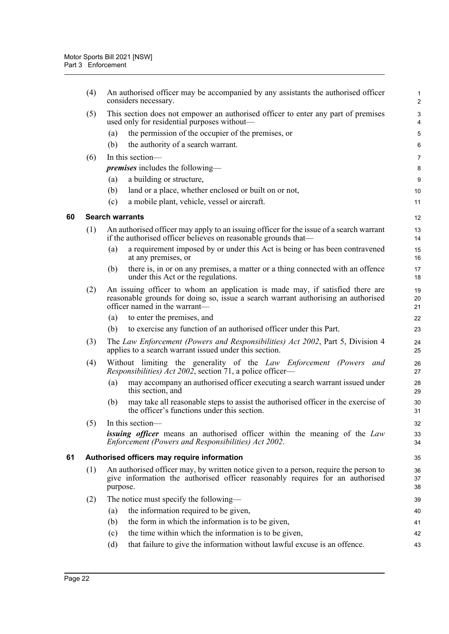<span id="page-32-1"></span><span id="page-32-0"></span>

|    | (4) | An authorised officer may be accompanied by any assistants the authorised officer<br>considers necessary.                                                                                           | $\mathbf{1}$<br>$\overline{2}$ |
|----|-----|-----------------------------------------------------------------------------------------------------------------------------------------------------------------------------------------------------|--------------------------------|
|    | (5) | This section does not empower an authorised officer to enter any part of premises<br>used only for residential purposes without—                                                                    | $\sqrt{3}$<br>4                |
|    |     | the permission of the occupier of the premises, or<br>(a)                                                                                                                                           | $\mathbf 5$                    |
|    |     | the authority of a search warrant.<br>(b)                                                                                                                                                           | 6                              |
|    | (6) | In this section-                                                                                                                                                                                    | 7                              |
|    |     | <i>premises</i> includes the following—                                                                                                                                                             | 8                              |
|    |     | a building or structure,<br>(a)                                                                                                                                                                     | 9                              |
|    |     | land or a place, whether enclosed or built on or not,<br>(b)                                                                                                                                        | 10                             |
|    |     | a mobile plant, vehicle, vessel or aircraft.<br>(c)                                                                                                                                                 | 11                             |
| 60 |     | <b>Search warrants</b>                                                                                                                                                                              | 12                             |
|    | (1) | An authorised officer may apply to an issuing officer for the issue of a search warrant<br>if the authorised officer believes on reasonable grounds that—                                           | 13<br>14                       |
|    |     | a requirement imposed by or under this Act is being or has been contravened<br>(a)<br>at any premises, or                                                                                           | 15<br>16                       |
|    |     | (b)<br>there is, in or on any premises, a matter or a thing connected with an offence<br>under this Act or the regulations.                                                                         | 17<br>18                       |
|    | (2) | An issuing officer to whom an application is made may, if satisfied there are<br>reasonable grounds for doing so, issue a search warrant authorising an authorised<br>officer named in the warrant- | 19<br>20<br>21                 |
|    |     | to enter the premises, and<br>(a)                                                                                                                                                                   | 22                             |
|    |     | to exercise any function of an authorised officer under this Part.<br>(b)                                                                                                                           | 23                             |
|    | (3) | The Law Enforcement (Powers and Responsibilities) Act 2002, Part 5, Division 4<br>applies to a search warrant issued under this section.                                                            | 24<br>25                       |
|    | (4) | Without limiting the generality of the Law Enforcement (Powers and<br>Responsibilities) Act 2002, section 71, a police officer-                                                                     | 26<br>27                       |
|    |     | may accompany an authorised officer executing a search warrant issued under<br>(a)<br>this section, and                                                                                             | 28<br>29                       |
|    |     | (b)<br>may take all reasonable steps to assist the authorised officer in the exercise of<br>the officer's functions under this section.                                                             | 30<br>31                       |
|    | (5) | In this section-                                                                                                                                                                                    | 32                             |
|    |     | <b>issuing officer</b> means an authorised officer within the meaning of the Law<br>Enforcement (Powers and Responsibilities) Act 2002.                                                             | 33<br>34                       |
| 61 |     | Authorised officers may require information                                                                                                                                                         | 35                             |
|    | (1) | An authorised officer may, by written notice given to a person, require the person to<br>give information the authorised officer reasonably requires for an authorised<br>purpose.                  | 36<br>37<br>38                 |
|    | (2) | The notice must specify the following—                                                                                                                                                              | 39                             |
|    |     | the information required to be given,<br>(a)                                                                                                                                                        | 40                             |
|    |     | the form in which the information is to be given,<br>(b)                                                                                                                                            | 41                             |
|    |     | the time within which the information is to be given,<br>(c)                                                                                                                                        | 42                             |
|    |     | that failure to give the information without lawful excuse is an offence.<br>(d)                                                                                                                    | 43                             |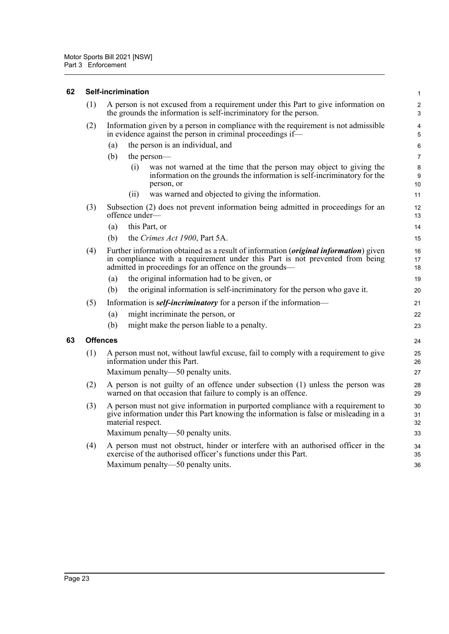#### <span id="page-33-0"></span>**62 Self-incrimination**

| (1)             | A person is not excused from a requirement under this Part to give information on<br>the grounds the information is self-incriminatory for the person. |                   |                                                                                                                                                                                                                                         | $\overline{\mathbf{c}}$<br>3 |
|-----------------|--------------------------------------------------------------------------------------------------------------------------------------------------------|-------------------|-----------------------------------------------------------------------------------------------------------------------------------------------------------------------------------------------------------------------------------------|------------------------------|
| (2)             | Information given by a person in compliance with the requirement is not admissible<br>in evidence against the person in criminal proceedings if-       |                   |                                                                                                                                                                                                                                         | 4<br>5                       |
|                 | (a)                                                                                                                                                    |                   | the person is an individual, and                                                                                                                                                                                                        | 6                            |
|                 | (b)                                                                                                                                                    |                   | the person—                                                                                                                                                                                                                             | $\overline{7}$               |
|                 |                                                                                                                                                        | (i)               | was not warned at the time that the person may object to giving the<br>information on the grounds the information is self-incriminatory for the<br>person, or                                                                           | 8<br>9<br>10                 |
|                 |                                                                                                                                                        | (ii)              | was warned and objected to giving the information.                                                                                                                                                                                      | 11                           |
| (3)             |                                                                                                                                                        | offence under-    | Subsection (2) does not prevent information being admitted in proceedings for an                                                                                                                                                        | 12<br>13                     |
|                 | (a)                                                                                                                                                    |                   | this Part, or                                                                                                                                                                                                                           | 14                           |
|                 | (b)                                                                                                                                                    |                   | the Crimes Act 1900, Part 5A.                                                                                                                                                                                                           | 15                           |
| (4)             |                                                                                                                                                        |                   | Further information obtained as a result of information ( <i>original information</i> ) given<br>in compliance with a requirement under this Part is not prevented from being<br>admitted in proceedings for an offence on the grounds— | 16<br>17<br>18               |
|                 | (a)                                                                                                                                                    |                   | the original information had to be given, or                                                                                                                                                                                            | 19                           |
|                 | (b)                                                                                                                                                    |                   | the original information is self-incriminatory for the person who gave it.                                                                                                                                                              | 20                           |
| (5)             |                                                                                                                                                        |                   | Information is <b><i>self-incriminatory</i></b> for a person if the information—                                                                                                                                                        | 21                           |
|                 | (a)                                                                                                                                                    |                   | might incriminate the person, or                                                                                                                                                                                                        | 22                           |
|                 | (b)                                                                                                                                                    |                   | might make the person liable to a penalty.                                                                                                                                                                                              | 23                           |
| <b>Offences</b> |                                                                                                                                                        |                   |                                                                                                                                                                                                                                         | 24                           |
| (1)             |                                                                                                                                                        |                   | A person must not, without lawful excuse, fail to comply with a requirement to give<br>information under this Part.                                                                                                                     | 25<br>26                     |
|                 |                                                                                                                                                        |                   | Maximum penalty—50 penalty units.                                                                                                                                                                                                       | 27                           |
| (2)             | A person is not guilty of an offence under subsection (1) unless the person was<br>warned on that occasion that failure to comply is an offence.       |                   | 28<br>29                                                                                                                                                                                                                                |                              |
| (3)             |                                                                                                                                                        | material respect. | A person must not give information in purported compliance with a requirement to<br>give information under this Part knowing the information is false or misleading in a                                                                | 30<br>31<br>32               |
|                 |                                                                                                                                                        |                   | Maximum penalty—50 penalty units.                                                                                                                                                                                                       | 33                           |
| (4)             |                                                                                                                                                        |                   | A person must not obstruct, hinder or interfere with an authorised officer in the<br>exercise of the authorised officer's functions under this Part.<br>Maximum penalty—50 penalty units.                                               | 34<br>35<br>36               |
|                 |                                                                                                                                                        |                   |                                                                                                                                                                                                                                         |                              |

1

<span id="page-33-1"></span>**63 Offences**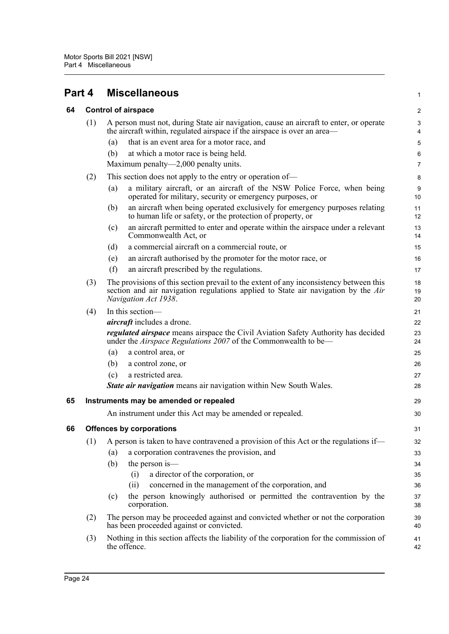<span id="page-34-0"></span>

<span id="page-34-3"></span><span id="page-34-2"></span><span id="page-34-1"></span>

| 64 |                                        | <b>Control of airspace</b>                                                                                                                                                                          | $\boldsymbol{2}$ |  |  |
|----|----------------------------------------|-----------------------------------------------------------------------------------------------------------------------------------------------------------------------------------------------------|------------------|--|--|
|    | (1)                                    | A person must not, during State air navigation, cause an aircraft to enter, or operate<br>the aircraft within, regulated airspace if the airspace is over an area—                                  |                  |  |  |
|    |                                        | that is an event area for a motor race, and<br>(a)                                                                                                                                                  | 5                |  |  |
|    |                                        | (b)<br>at which a motor race is being held.                                                                                                                                                         | 6                |  |  |
|    |                                        | Maximum penalty—2,000 penalty units.                                                                                                                                                                | 7                |  |  |
|    | (2)                                    | This section does not apply to the entry or operation of—                                                                                                                                           | 8                |  |  |
|    |                                        | a military aircraft, or an aircraft of the NSW Police Force, when being<br>(a)<br>operated for military, security or emergency purposes, or                                                         | $9\,$<br>10      |  |  |
|    |                                        | an aircraft when being operated exclusively for emergency purposes relating<br>(b)<br>to human life or safety, or the protection of property, or                                                    | 11<br>12         |  |  |
|    |                                        | an aircraft permitted to enter and operate within the airspace under a relevant<br>(c)<br>Commonwealth Act, or                                                                                      | 13<br>14         |  |  |
|    |                                        | a commercial aircraft on a commercial route, or<br>(d)                                                                                                                                              | 15               |  |  |
|    |                                        | an aircraft authorised by the promoter for the motor race, or<br>(e)                                                                                                                                | 16               |  |  |
|    |                                        | (f)<br>an aircraft prescribed by the regulations.                                                                                                                                                   | 17               |  |  |
|    | (3)                                    | The provisions of this section prevail to the extent of any inconsistency between this<br>section and air navigation regulations applied to State air navigation by the Air<br>Navigation Act 1938. | 18<br>19<br>20   |  |  |
|    | (4)                                    | In this section-                                                                                                                                                                                    | 21               |  |  |
|    |                                        | <i>aircraft</i> includes a drone.                                                                                                                                                                   | 22               |  |  |
|    |                                        | <i>regulated airspace</i> means airspace the Civil Aviation Safety Authority has decided<br>under the Airspace Regulations 2007 of the Commonwealth to be—                                          | 23<br>24         |  |  |
|    |                                        | a control area, or<br>(a)                                                                                                                                                                           | 25               |  |  |
|    |                                        | (b)<br>a control zone, or                                                                                                                                                                           | 26               |  |  |
|    |                                        | a restricted area.<br>(c)                                                                                                                                                                           | 27               |  |  |
|    |                                        | <b>State air navigation</b> means air navigation within New South Wales.                                                                                                                            | 28               |  |  |
| 65 | Instruments may be amended or repealed |                                                                                                                                                                                                     |                  |  |  |
|    |                                        | An instrument under this Act may be amended or repealed.                                                                                                                                            | 30               |  |  |
| 66 |                                        | <b>Offences by corporations</b>                                                                                                                                                                     | 31               |  |  |
|    |                                        | (1) A person is taken to have contravened a provision of this Act or the regulations if—                                                                                                            | 32               |  |  |
|    |                                        | a corporation contravenes the provision, and<br>(a)                                                                                                                                                 | 33               |  |  |
|    |                                        | (b)<br>the person is—                                                                                                                                                                               | 34               |  |  |
|    |                                        | a director of the corporation, or<br>(i)                                                                                                                                                            | 35               |  |  |
|    |                                        | concerned in the management of the corporation, and<br>(ii)                                                                                                                                         | 36               |  |  |
|    |                                        | the person knowingly authorised or permitted the contravention by the<br>(c)<br>corporation.                                                                                                        | 37<br>38         |  |  |
|    | (2)                                    | The person may be proceeded against and convicted whether or not the corporation<br>has been proceeded against or convicted.                                                                        | 39<br>40         |  |  |
|    | (3)                                    | Nothing in this section affects the liability of the corporation for the commission of<br>the offence.                                                                                              | 41<br>42         |  |  |

1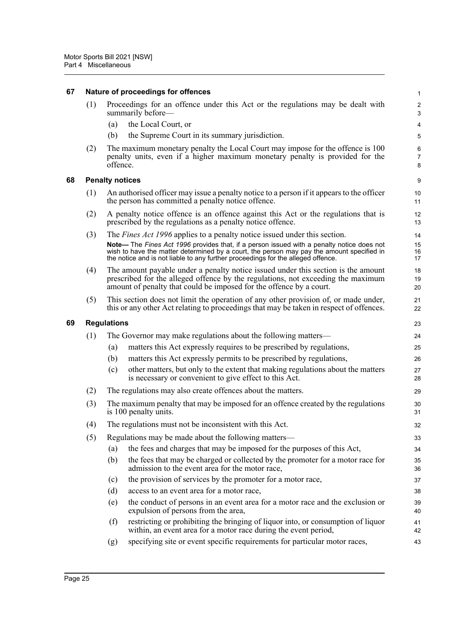<span id="page-35-2"></span><span id="page-35-1"></span><span id="page-35-0"></span>

| 67 |                        |                                                                                                            | Nature of proceedings for offences                                                                                                                                                                                                                                         | 1                            |  |  |
|----|------------------------|------------------------------------------------------------------------------------------------------------|----------------------------------------------------------------------------------------------------------------------------------------------------------------------------------------------------------------------------------------------------------------------------|------------------------------|--|--|
|    | (1)                    |                                                                                                            | Proceedings for an offence under this Act or the regulations may be dealt with<br>summarily before—                                                                                                                                                                        | $\overline{\mathbf{c}}$<br>3 |  |  |
|    |                        | (a)                                                                                                        | the Local Court, or                                                                                                                                                                                                                                                        | 4                            |  |  |
|    |                        | (b)                                                                                                        | the Supreme Court in its summary jurisdiction.                                                                                                                                                                                                                             | 5                            |  |  |
|    | (2)                    | offence.                                                                                                   | The maximum monetary penalty the Local Court may impose for the offence is 100<br>penalty units, even if a higher maximum monetary penalty is provided for the                                                                                                             | 6<br>7<br>8                  |  |  |
| 68 | <b>Penalty notices</b> |                                                                                                            |                                                                                                                                                                                                                                                                            |                              |  |  |
|    | (1)                    |                                                                                                            | An authorised officer may issue a penalty notice to a person if it appears to the officer<br>the person has committed a penalty notice offence.                                                                                                                            | 10<br>11                     |  |  |
|    | (2)                    |                                                                                                            | A penalty notice offence is an offence against this Act or the regulations that is<br>prescribed by the regulations as a penalty notice offence.                                                                                                                           | 12<br>13                     |  |  |
|    | (3)                    |                                                                                                            | The <i>Fines Act 1996</i> applies to a penalty notice issued under this section.                                                                                                                                                                                           | 14                           |  |  |
|    |                        |                                                                                                            | Note— The Fines Act 1996 provides that, if a person issued with a penalty notice does not<br>wish to have the matter determined by a court, the person may pay the amount specified in<br>the notice and is not liable to any further proceedings for the alleged offence. | 15<br>16<br>17               |  |  |
|    | (4)                    |                                                                                                            | The amount payable under a penalty notice issued under this section is the amount<br>prescribed for the alleged offence by the regulations, not exceeding the maximum<br>amount of penalty that could be imposed for the offence by a court.                               | 18<br>19<br>20               |  |  |
|    | (5)                    |                                                                                                            | This section does not limit the operation of any other provision of, or made under,<br>this or any other Act relating to proceedings that may be taken in respect of offences.                                                                                             | 21<br>22                     |  |  |
| 69 | <b>Regulations</b>     |                                                                                                            |                                                                                                                                                                                                                                                                            |                              |  |  |
|    | (1)                    |                                                                                                            | The Governor may make regulations about the following matters—                                                                                                                                                                                                             | 24                           |  |  |
|    |                        | (a)                                                                                                        | matters this Act expressly requires to be prescribed by regulations,                                                                                                                                                                                                       | 25                           |  |  |
|    |                        | (b)                                                                                                        | matters this Act expressly permits to be prescribed by regulations,                                                                                                                                                                                                        | 26                           |  |  |
|    |                        | (c)                                                                                                        | other matters, but only to the extent that making regulations about the matters<br>is necessary or convenient to give effect to this Act.                                                                                                                                  | 27<br>28                     |  |  |
|    | (2)                    |                                                                                                            | The regulations may also create offences about the matters.                                                                                                                                                                                                                | 29                           |  |  |
|    | (3)                    | The maximum penalty that may be imposed for an offence created by the regulations<br>is 100 penalty units. |                                                                                                                                                                                                                                                                            | 30<br>31                     |  |  |
|    | (4)                    | The regulations must not be inconsistent with this Act.                                                    |                                                                                                                                                                                                                                                                            |                              |  |  |
|    | (5)                    |                                                                                                            | Regulations may be made about the following matters—                                                                                                                                                                                                                       | 33                           |  |  |
|    |                        | (a)                                                                                                        | the fees and charges that may be imposed for the purposes of this Act,                                                                                                                                                                                                     | 34                           |  |  |
|    |                        | (b)                                                                                                        | the fees that may be charged or collected by the promoter for a motor race for<br>admission to the event area for the motor race,                                                                                                                                          | 35<br>36                     |  |  |
|    |                        | (c)                                                                                                        | the provision of services by the promoter for a motor race,                                                                                                                                                                                                                | 37                           |  |  |
|    |                        | (d)                                                                                                        | access to an event area for a motor race,                                                                                                                                                                                                                                  | 38                           |  |  |
|    |                        | (e)                                                                                                        | the conduct of persons in an event area for a motor race and the exclusion or<br>expulsion of persons from the area,                                                                                                                                                       | 39<br>40                     |  |  |
|    |                        | (f)                                                                                                        | restricting or prohibiting the bringing of liquor into, or consumption of liquor<br>within, an event area for a motor race during the event period,                                                                                                                        | 41<br>42                     |  |  |
|    |                        | (g)                                                                                                        | specifying site or event specific requirements for particular motor races,                                                                                                                                                                                                 | 43                           |  |  |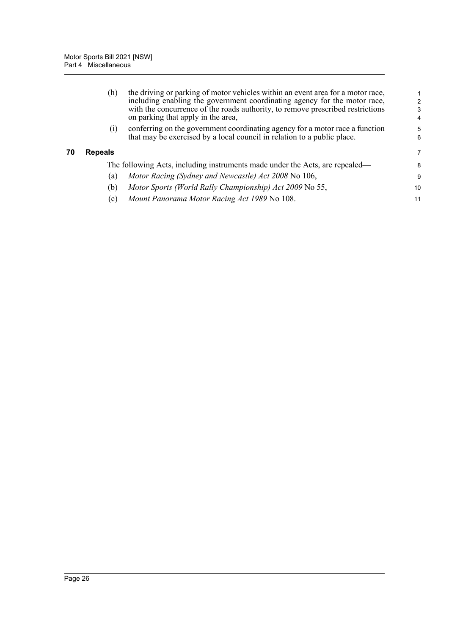<span id="page-36-0"></span>

|    | (h)               | the driving or parking of motor vehicles within an event area for a motor race,<br>including enabling the government coordinating agency for the motor race,<br>with the concurrence of the roads authority, to remove prescribed restrictions<br>on parking that apply in the area, | $\mathcal{P}$<br>3<br>4 |
|----|-------------------|--------------------------------------------------------------------------------------------------------------------------------------------------------------------------------------------------------------------------------------------------------------------------------------|-------------------------|
|    | $\left( 1\right)$ | conferring on the government coordinating agency for a motor race a function<br>that may be exercised by a local council in relation to a public place.                                                                                                                              | 5<br>6                  |
| 70 | <b>Repeals</b>    |                                                                                                                                                                                                                                                                                      | 7                       |
|    |                   | The following Acts, including instruments made under the Acts, are repealed—                                                                                                                                                                                                         | 8                       |
|    | (a)               | Motor Racing (Sydney and Newcastle) Act 2008 No 106,                                                                                                                                                                                                                                 | 9                       |
|    | (b)               | Motor Sports (World Rally Championship) Act 2009 No 55,                                                                                                                                                                                                                              | 10                      |
|    | (c)               | Mount Panorama Motor Racing Act 1989 No 108.                                                                                                                                                                                                                                         | 11                      |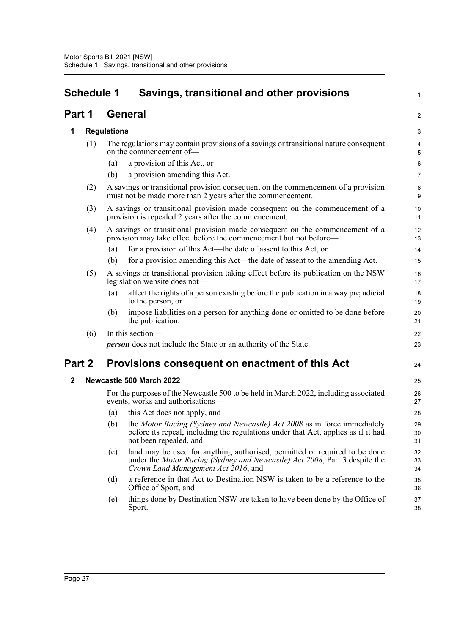# <span id="page-37-0"></span>**Schedule 1 Savings, transitional and other provisions**

1

2

37 38

## **Part 1 General**

#### **1 Regulations**

| 1            |     | <b>Regulations</b> |                                                                                                                                                                                                 | $\mathbf{3}$   |
|--------------|-----|--------------------|-------------------------------------------------------------------------------------------------------------------------------------------------------------------------------------------------|----------------|
|              | (1) |                    | The regulations may contain provisions of a savings or transitional nature consequent<br>on the commencement of-                                                                                | 4<br>5         |
|              |     | (a)                | a provision of this Act, or                                                                                                                                                                     | $\,6\,$        |
|              |     | (b)                | a provision amending this Act.                                                                                                                                                                  | 7              |
|              | (2) |                    | A savings or transitional provision consequent on the commencement of a provision<br>must not be made more than 2 years after the commencement.                                                 | 8<br>9         |
|              | (3) |                    | A savings or transitional provision made consequent on the commencement of a<br>provision is repealed 2 years after the commencement.                                                           | 10<br>11       |
|              | (4) |                    | A savings or transitional provision made consequent on the commencement of a<br>provision may take effect before the commencement but not before—                                               |                |
|              |     | (a)                | for a provision of this Act—the date of assent to this Act, or                                                                                                                                  | 14             |
|              |     | (b)                | for a provision amending this Act—the date of assent to the amending Act.                                                                                                                       | 15             |
|              | (5) |                    | A savings or transitional provision taking effect before its publication on the NSW<br>legislation website does not-                                                                            | 16<br>17       |
|              |     | (a)                | affect the rights of a person existing before the publication in a way prejudicial<br>to the person, or                                                                                         | 18<br>19       |
|              |     | (b)                | impose liabilities on a person for anything done or omitted to be done before<br>the publication.                                                                                               | 20<br>21       |
|              | (6) |                    | In this section-                                                                                                                                                                                | 22             |
|              |     |                    | <b>person</b> does not include the State or an authority of the State.                                                                                                                          | 23             |
| Part 2       |     |                    | Provisions consequent on enactment of this Act                                                                                                                                                  | 24             |
| $\mathbf{2}$ |     |                    | Newcastle 500 March 2022                                                                                                                                                                        | 25             |
|              |     |                    | For the purposes of the Newcastle 500 to be held in March 2022, including associated<br>events, works and authorisations-                                                                       | 26<br>27       |
|              |     | (a)                | this Act does not apply, and                                                                                                                                                                    | 28             |
|              |     | (b)                | the Motor Racing (Sydney and Newcastle) Act 2008 as in force immediately<br>before its repeal, including the regulations under that Act, applies as if it had<br>not been repealed, and         | 29<br>30<br>31 |
|              |     | (c)                | land may be used for anything authorised, permitted or required to be done<br>under the Motor Racing (Sydney and Newcastle) Act 2008, Part 3 despite the<br>Crown Land Management Act 2016, and | 32<br>33<br>34 |
|              |     | (d)                | a reference in that Act to Destination NSW is taken to be a reference to the<br>Office of Sport, and                                                                                            | 35<br>36       |

(e) things done by Destination NSW are taken to have been done by the Office of Sport.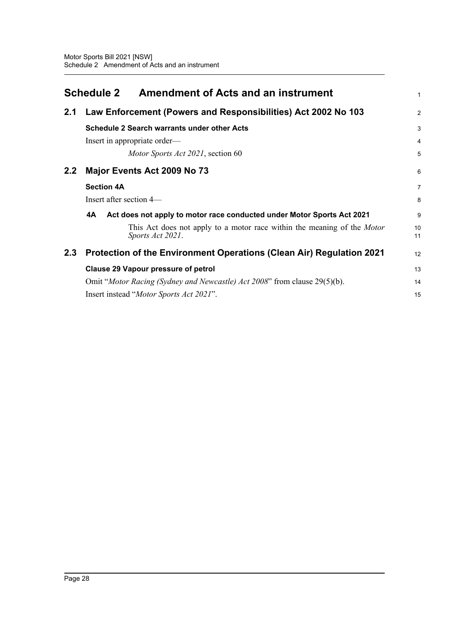<span id="page-38-0"></span>

|     | <b>Schedule 2</b><br><b>Amendment of Acts and an instrument</b>                             | 1              |  |  |
|-----|---------------------------------------------------------------------------------------------|----------------|--|--|
| 2.1 | Law Enforcement (Powers and Responsibilities) Act 2002 No 103                               | $\overline{2}$ |  |  |
|     | <b>Schedule 2 Search warrants under other Acts</b>                                          | 3              |  |  |
|     | Insert in appropriate order—                                                                | $\overline{4}$ |  |  |
|     | Motor Sports Act 2021, section 60                                                           | 5              |  |  |
| 2.2 | Major Events Act 2009 No 73                                                                 | 6              |  |  |
|     | <b>Section 4A</b>                                                                           |                |  |  |
|     | Insert after section 4-                                                                     | 8              |  |  |
|     | 4A<br>Act does not apply to motor race conducted under Motor Sports Act 2021                | 9              |  |  |
|     | This Act does not apply to a motor race within the meaning of the Motor<br>Sports Act 2021. | 10<br>11       |  |  |
| 2.3 | Protection of the Environment Operations (Clean Air) Regulation 2021                        |                |  |  |
|     | <b>Clause 29 Vapour pressure of petrol</b>                                                  |                |  |  |
|     | Omit "Motor Racing (Sydney and Newcastle) Act 2008" from clause 29(5)(b).                   | 14             |  |  |
|     | Insert instead "Motor Sports Act 2021".                                                     | 15             |  |  |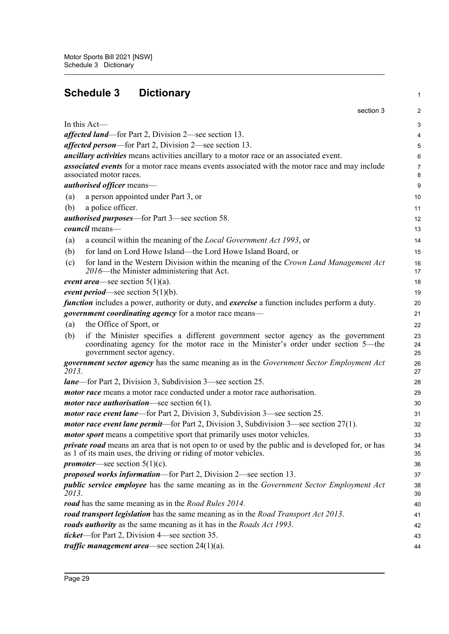<span id="page-39-0"></span>

| <b>Schedule 3</b><br><b>Dictionary</b> |                                                                                                                                                                                                     |                |  |  |
|----------------------------------------|-----------------------------------------------------------------------------------------------------------------------------------------------------------------------------------------------------|----------------|--|--|
|                                        | section 3                                                                                                                                                                                           | $\overline{2}$ |  |  |
|                                        | In this Act—                                                                                                                                                                                        | 3              |  |  |
|                                        | affected land—for Part 2, Division 2—see section 13.                                                                                                                                                | 4              |  |  |
|                                        | <i>affected person</i> —for Part 2, Division 2—see section 13.                                                                                                                                      | 5              |  |  |
|                                        | <i>ancillary activities</i> means activities ancillary to a motor race or an associated event.                                                                                                      | 6              |  |  |
|                                        | associated events for a motor race means events associated with the motor race and may include<br>associated motor races.                                                                           | 7<br>8         |  |  |
|                                        | <i>authorised officer</i> means-                                                                                                                                                                    | 9              |  |  |
| (a)                                    | a person appointed under Part 3, or                                                                                                                                                                 | 10             |  |  |
| (b)                                    | a police officer.                                                                                                                                                                                   | 11             |  |  |
|                                        | <i>authorised purposes</i> —for Part 3—see section 58.                                                                                                                                              | 12             |  |  |
|                                        | council means-                                                                                                                                                                                      | 13             |  |  |
| (a)                                    | a council within the meaning of the <i>Local Government Act 1993</i> , or                                                                                                                           | 14             |  |  |
| (b)                                    | for land on Lord Howe Island—the Lord Howe Island Board, or                                                                                                                                         | 15             |  |  |
| (c)                                    | for land in the Western Division within the meaning of the Crown Land Management Act<br>2016—the Minister administering that Act.                                                                   | 16<br>17       |  |  |
|                                        | <i>event area</i> —see section $5(1)(a)$ .                                                                                                                                                          | 18             |  |  |
|                                        | event period—see section $5(1)(b)$ .                                                                                                                                                                | 19             |  |  |
|                                        | function includes a power, authority or duty, and exercise a function includes perform a duty.                                                                                                      | 20             |  |  |
|                                        | government coordinating agency for a motor race means-                                                                                                                                              | 21             |  |  |
| (a)                                    | the Office of Sport, or                                                                                                                                                                             | 22             |  |  |
| (b)                                    | if the Minister specifies a different government sector agency as the government<br>coordinating agency for the motor race in the Minister's order under section 5-the<br>government sector agency. | 23<br>24<br>25 |  |  |
| 2013.                                  | government sector agency has the same meaning as in the Government Sector Employment Act                                                                                                            | 26<br>27       |  |  |
|                                        | <i>lane</i> —for Part 2, Division 3, Subdivision 3—see section 25.                                                                                                                                  | 28             |  |  |
|                                        | <i>motor race</i> means a motor race conducted under a motor race authorisation.                                                                                                                    | 29             |  |  |
|                                        | <i>motor race authorisation</i> —see section $6(1)$ .                                                                                                                                               | 30             |  |  |
|                                        | <i>motor race event lane</i> —for Part 2, Division 3, Subdivision 3—see section 25.                                                                                                                 | 31             |  |  |
|                                        | <i>motor race event lane permit—for Part 2, Division 3, Subdivision 3—see section <math>27(1)</math>.</i>                                                                                           | 32             |  |  |
|                                        | <i>motor sport</i> means a competitive sport that primarily uses motor vehicles.                                                                                                                    | 33             |  |  |
|                                        | <i>private road</i> means an area that is not open to or used by the public and is developed for, or has<br>as 1 of its main uses, the driving or riding of motor vehicles.                         | 34<br>35       |  |  |
|                                        | <i>promoter</i> —see section $5(1)(c)$ .                                                                                                                                                            | 36             |  |  |
|                                        | <i>proposed works information</i> —for Part 2, Division 2—see section 13.                                                                                                                           | 37             |  |  |
| 2013.                                  | <i>public service employee</i> has the same meaning as in the <i>Government Sector Employment Act</i>                                                                                               | 38<br>39       |  |  |
|                                        | road has the same meaning as in the Road Rules 2014.                                                                                                                                                | 40             |  |  |
|                                        | road transport legislation has the same meaning as in the Road Transport Act 2013.                                                                                                                  | 41             |  |  |
|                                        | roads authority as the same meaning as it has in the Roads Act 1993.                                                                                                                                | 42             |  |  |
|                                        | <i>ticket</i> —for Part 2, Division 4—see section 35.                                                                                                                                               | 43             |  |  |
|                                        | <i>traffic management area</i> —see section $24(1)(a)$ .                                                                                                                                            | 44             |  |  |